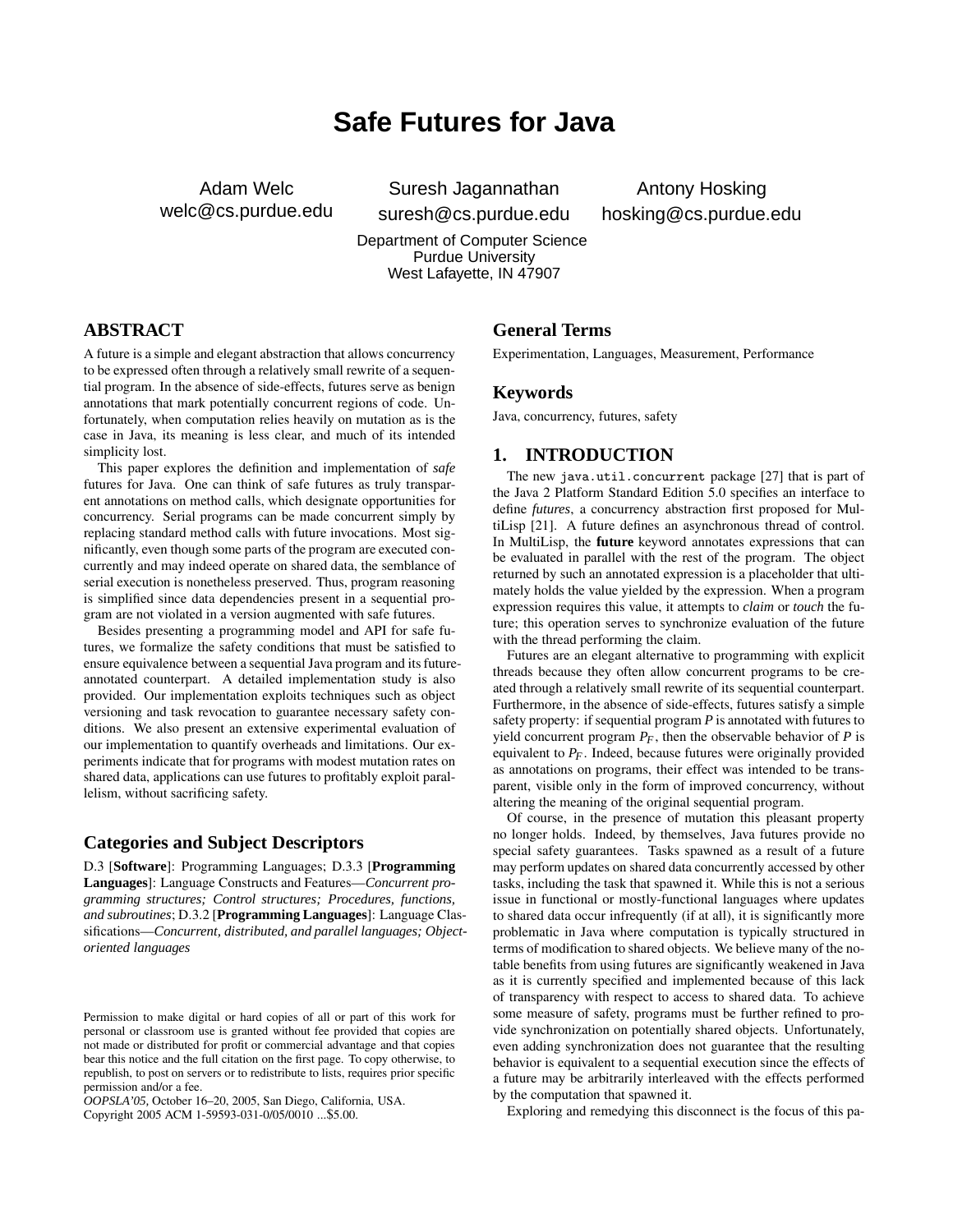# **Safe Futures for Java**

Adam Welc welc@cs.purdue.edu

Suresh Jagannathan suresh@cs.purdue.edu

Antony Hosking hosking@cs.purdue.edu

Department of Computer Science Purdue University West Lafayette, IN 47907

**ABSTRACT**

A future is a simple and elegant abstraction that allows concurrency to be expressed often through a relatively small rewrite of a sequential program. In the absence of side-effects, futures serve as benign annotations that mark potentially concurrent regions of code. Unfortunately, when computation relies heavily on mutation as is the case in Java, its meaning is less clear, and much of its intended simplicity lost.

This paper explores the definition and implementation of *safe* futures for Java. One can think of safe futures as truly transparent annotations on method calls, which designate opportunities for concurrency. Serial programs can be made concurrent simply by replacing standard method calls with future invocations. Most significantly, even though some parts of the program are executed concurrently and may indeed operate on shared data, the semblance of serial execution is nonetheless preserved. Thus, program reasoning is simplified since data dependencies present in a sequential program are not violated in a version augmented with safe futures.

Besides presenting a programming model and API for safe futures, we formalize the safety conditions that must be satisfied to ensure equivalence between a sequential Java program and its futureannotated counterpart. A detailed implementation study is also provided. Our implementation exploits techniques such as object versioning and task revocation to guarantee necessary safety conditions. We also present an extensive experimental evaluation of our implementation to quantify overheads and limitations. Our experiments indicate that for programs with modest mutation rates on shared data, applications can use futures to profitably exploit parallelism, without sacrificing safety.

## **Categories and Subject Descriptors**

D.3 [**Software**]: Programming Languages; D.3.3 [**Programming Languages**]: Language Constructs and Features—*Concurrent programming structures; Control structures; Procedures, functions, and subroutines*; D.3.2 [**Programming Languages**]: Language Classifications—*Concurrent, distributed, and parallel languages; Objectoriented languages*

*OOPSLA'05,* October 16–20, 2005, San Diego, California, USA. Copyright 2005 ACM 1-59593-031-0/05/0010 ...\$5.00.

## **General Terms**

Experimentation, Languages, Measurement, Performance

#### **Keywords**

Java, concurrency, futures, safety

## **1. INTRODUCTION**

The new java.util.concurrent package [27] that is part of the Java 2 Platform Standard Edition 5.0 specifies an interface to define *futures*, a concurrency abstraction first proposed for MultiLisp [21]. A future defines an asynchronous thread of control. In MultiLisp, the **future** keyword annotates expressions that can be evaluated in parallel with the rest of the program. The object returned by such an annotated expression is a placeholder that ultimately holds the value yielded by the expression. When a program expression requires this value, it attempts to *claim* or *touch* the future; this operation serves to synchronize evaluation of the future with the thread performing the claim.

Futures are an elegant alternative to programming with explicit threads because they often allow concurrent programs to be created through a relatively small rewrite of its sequential counterpart. Furthermore, in the absence of side-effects, futures satisfy a simple safety property: if sequential program *P* is annotated with futures to yield concurrent program  $P_F$ , then the observable behavior of  $P$  is equivalent to *PF*. Indeed, because futures were originally provided as annotations on programs, their effect was intended to be transparent, visible only in the form of improved concurrency, without altering the meaning of the original sequential program.

Of course, in the presence of mutation this pleasant property no longer holds. Indeed, by themselves, Java futures provide no special safety guarantees. Tasks spawned as a result of a future may perform updates on shared data concurrently accessed by other tasks, including the task that spawned it. While this is not a serious issue in functional or mostly-functional languages where updates to shared data occur infrequently (if at all), it is significantly more problematic in Java where computation is typically structured in terms of modification to shared objects. We believe many of the notable benefits from using futures are significantly weakened in Java as it is currently specified and implemented because of this lack of transparency with respect to access to shared data. To achieve some measure of safety, programs must be further refined to provide synchronization on potentially shared objects. Unfortunately, even adding synchronization does not guarantee that the resulting behavior is equivalent to a sequential execution since the effects of a future may be arbitrarily interleaved with the effects performed by the computation that spawned it.

Exploring and remedying this disconnect is the focus of this pa-

Permission to make digital or hard copies of all or part of this work for personal or classroom use is granted without fee provided that copies are not made or distributed for profit or commercial advantage and that copies bear this notice and the full citation on the first page. To copy otherwise, to republish, to post on servers or to redistribute to lists, requires prior specific permission and/or a fee.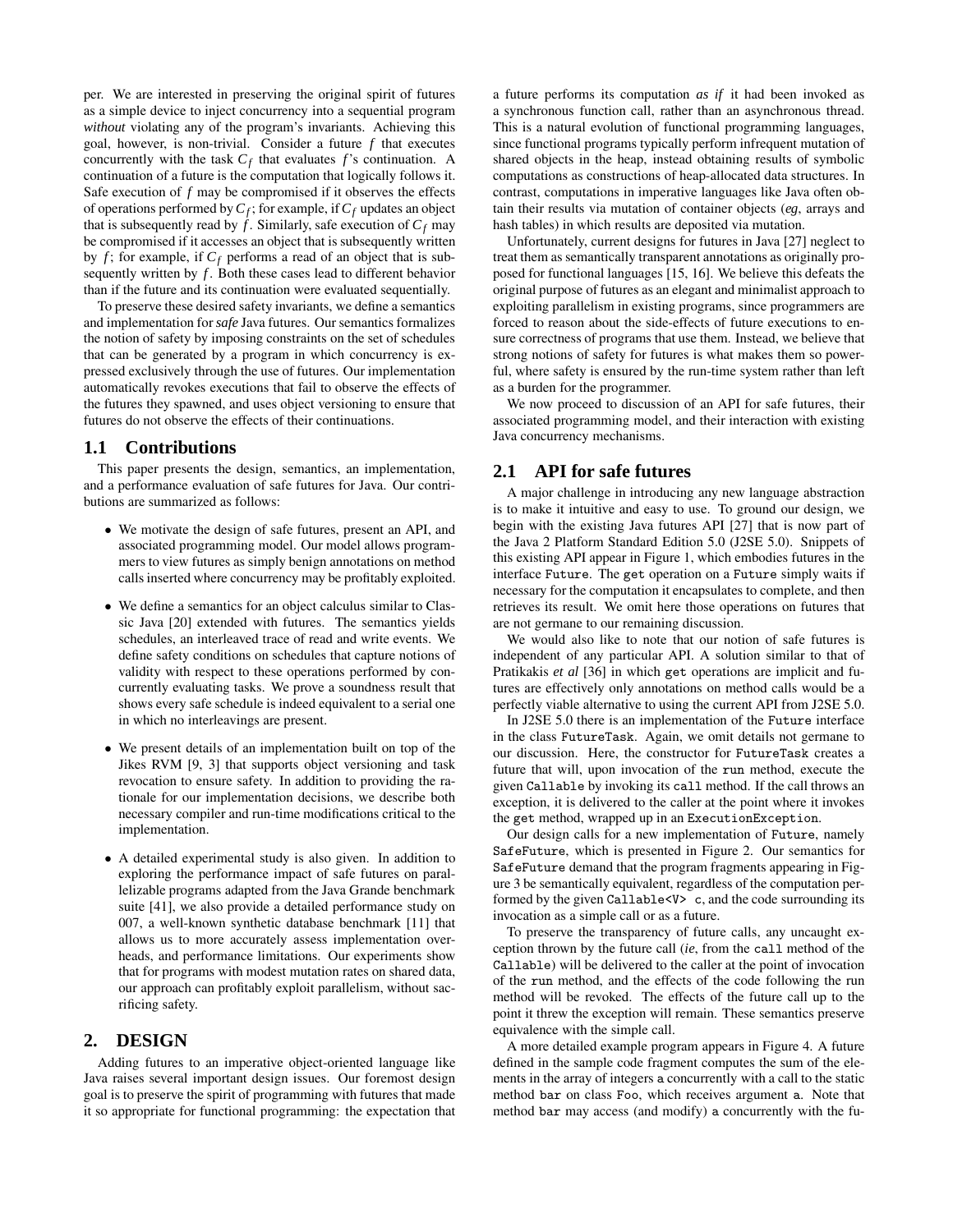per. We are interested in preserving the original spirit of futures as a simple device to inject concurrency into a sequential program *without* violating any of the program's invariants. Achieving this goal, however, is non-trivial. Consider a future *f* that executes concurrently with the task  $C_f$  that evaluates  $f$ 's continuation. A continuation of a future is the computation that logically follows it. Safe execution of *f* may be compromised if it observes the effects of operations performed by*C<sup>f</sup>* ; for example, if*C<sup>f</sup>* updates an object that is subsequently read by  $f$ . Similarly, safe execution of  $C_f$  may be compromised if it accesses an object that is subsequently written by  $f$ ; for example, if  $C_f$  performs a read of an object that is subsequently written by *f*. Both these cases lead to different behavior than if the future and its continuation were evaluated sequentially.

To preserve these desired safety invariants, we define a semantics and implementation for *safe* Java futures. Our semantics formalizes the notion of safety by imposing constraints on the set of schedules that can be generated by a program in which concurrency is expressed exclusively through the use of futures. Our implementation automatically revokes executions that fail to observe the effects of the futures they spawned, and uses object versioning to ensure that futures do not observe the effects of their continuations.

## **1.1 Contributions**

This paper presents the design, semantics, an implementation, and a performance evaluation of safe futures for Java. Our contributions are summarized as follows:

- We motivate the design of safe futures, present an API, and associated programming model. Our model allows programmers to view futures as simply benign annotations on method callsinserted where concurrency may be profitably exploited.
- We define a semantics for an object calculus similar to Classic Java [20] extended with futures. The semantics yields schedules, an interleaved trace of read and write events. We define safety conditions on schedules that capture notions of validity with respect to these operations performed by concurrently evaluating tasks. We prove a soundness result that shows every safe schedule is indeed equivalent to a serial one in which no interleavings are present.
- We present details of an implementation built on top of the Jikes RVM [9, 3] that supports object versioning and task revocation to ensure safety. In addition to providing the rationale for our implementation decisions, we describe both necessary compiler and run-time modifications critical to the implementation.
- A detailed experimental study is also given. In addition to exploring the performance impact of safe futures on parallelizable programs adapted from the Java Grande benchmark suite [41], we also provide a detailed performance study on 007, a well-known synthetic database benchmark [11] that allows us to more accurately assess implementation overheads, and performance limitations. Our experiments show that for programs with modest mutation rates on shared data, our approach can profitably exploit parallelism, without sacrificing safety.

## **2. DESIGN**

Adding futures to an imperative object-oriented language like Java raises several important design issues. Our foremost design goal is to preserve the spirit of programming with futures that made it so appropriate for functional programming: the expectation that a future performs its computation *as if* it had been invoked as a synchronous function call, rather than an asynchronous thread. This is a natural evolution of functional programming languages, since functional programs typically perform infrequent mutation of shared objects in the heap, instead obtaining results of symbolic computations as constructions of heap-allocated data structures. In contrast, computations in imperative languages like Java often obtain their results via mutation of container objects (*eg*, arrays and hash tables) in which results are deposited via mutation.

Unfortunately, current designs for futures in Java [27] neglect to treat them as semantically transparent annotations as originally proposed for functional languages [15, 16]. We believe this defeats the original purpose of futures as an elegant and minimalist approach to exploiting parallelism in existing programs, since programmers are forced to reason about the side-effects of future executions to ensure correctness of programs that use them. Instead, we believe that strong notions of safety for futures is what makes them so powerful, where safety is ensured by the run-time system rather than left as a burden for the programmer.

We now proceed to discussion of an API for safe futures, their associated programming model, and their interaction with existing Java concurrency mechanisms.

# **2.1 API for safe futures**

A major challenge in introducing any new language abstraction is to make it intuitive and easy to use. To ground our design, we begin with the existing Java futures API [27] that is now part of the Java 2 Platform Standard Edition 5.0 (J2SE 5.0). Snippets of this existing API appear in Figure 1, which embodies futures in the interface Future. The get operation on a Future simply waits if necessary for the computation it encapsulates to complete, and then retrieves its result. We omit here those operations on futures that are not germane to our remaining discussion.

We would also like to note that our notion of safe futures is independent of any particular API. A solution similar to that of Pratikakis *et al* [36] in which get operations are implicit and futures are effectively only annotations on method calls would be a perfectly viable alternative to using the current API from J2SE 5.0.

In J2SE 5.0 there is an implementation of the Future interface in the class FutureTask. Again, we omit details not germane to our discussion. Here, the constructor for FutureTask creates a future that will, upon invocation of the run method, execute the given Callable by invoking its call method. If the call throws an exception, it is delivered to the caller at the point where it invokes the get method, wrapped up in an ExecutionException.

Our design calls for a new implementation of Future, namely SafeFuture, which is presented in Figure 2. Our semantics for SafeFuture demand that the program fragments appearing in Figure 3 be semantically equivalent, regardless of the computation performed by the given Callable<V> c, and the code surrounding its invocation as a simple call or as a future.

To preserve the transparency of future calls, any uncaught exception thrown by the future call (*ie*, from the call method of the Callable) will be delivered to the caller at the point of invocation of the run method, and the effects of the code following the run method will be revoked. The effects of the future call up to the point it threw the exception will remain. These semantics preserve equivalence with the simple call.

A more detailed example program appears in Figure 4. A future defined in the sample code fragment computes the sum of the elements in the array of integers a concurrently with a call to the static method bar on class Foo, which receives argument a. Note that method bar may access (and modify) a concurrently with the fu-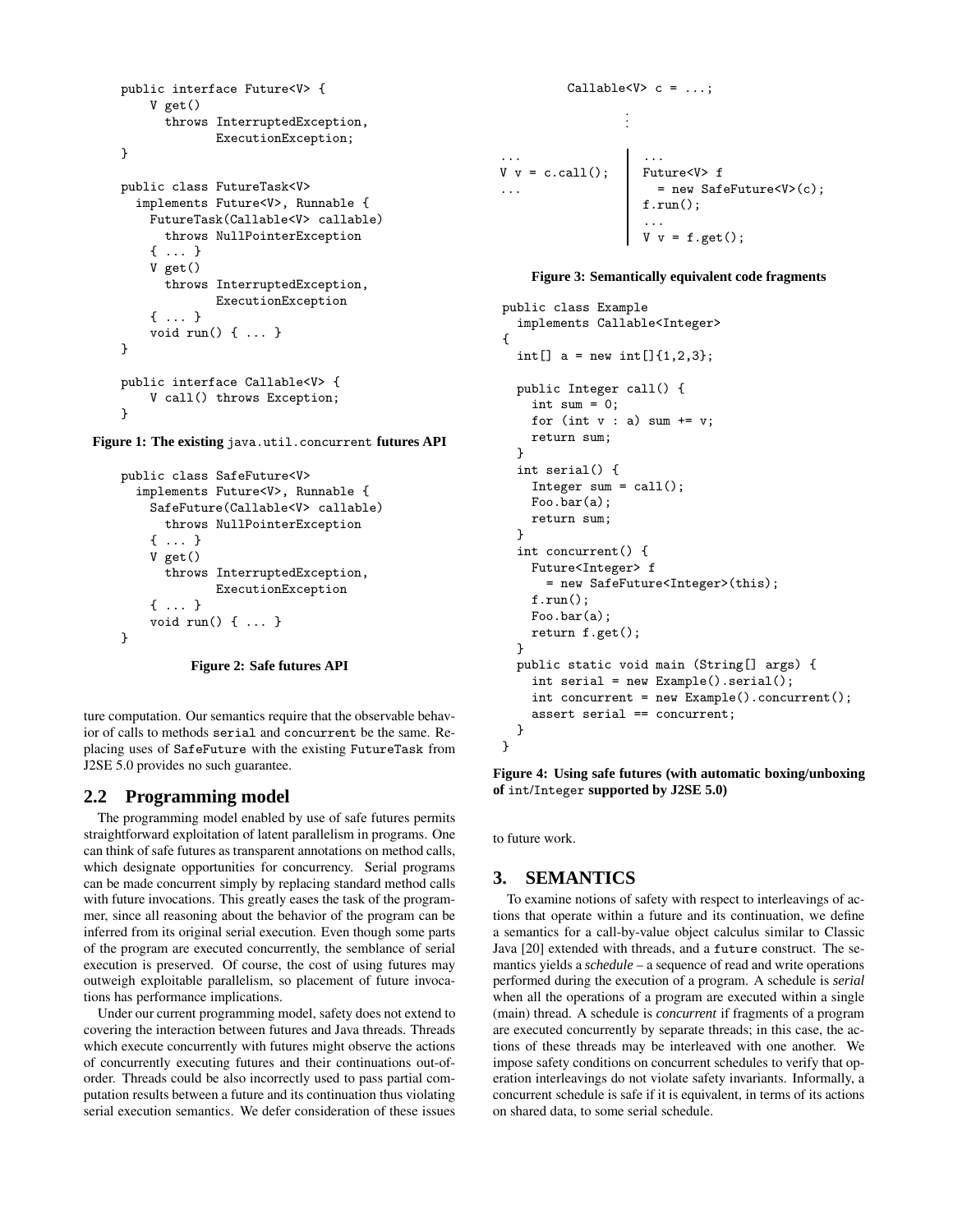```
public interface Future<V> {
    V get()
      throws InterruptedException,
             ExecutionException;
}
public class FutureTask<V>
  implements Future<V>, Runnable {
    FutureTask(Callable<V> callable)
      throws NullPointerException
    { ... }
    V get()
      throws InterruptedException,
             ExecutionException
    { ... }
    void run() { ... }
}
public interface Callable<V> {
    V call() throws Exception;
}
```
**Figure 1: The existing** java.util.concurrent **futures API**

```
public class SafeFuture<V>
  implements Future<V>, Runnable {
    SafeFuture(Callable<V> callable)
      throws NullPointerException
    { ... }
    V get()
      throws InterruptedException,
             ExecutionException
    { ... }
    void run() { ... }
}
```
# **Figure 2: Safe futures API**

ture computation. Our semantics require that the observable behavior of calls to methods serial and concurrent be the same. Replacing uses of SafeFuture with the existing FutureTask from J2SE 5.0 provides no such guarantee.

## **2.2 Programming model**

The programming model enabled by use of safe futures permits straightforward exploitation of latent parallelism in programs. One can think of safe futures as transparent annotations on method calls, which designate opportunities for concurrency. Serial programs can be made concurrent simply by replacing standard method calls with future invocations. This greatly eases the task of the programmer, since all reasoning about the behavior of the program can be inferred from its original serial execution. Even though some parts of the program are executed concurrently, the semblance of serial execution is preserved. Of course, the cost of using futures may outweigh exploitable parallelism, so placement of future invocations has performance implications.

Under our current programming model, safety does not extend to covering the interaction between futures and Java threads. Threads which execute concurrently with futures might observe the actions of concurrently executing futures and their continuations out-oforder. Threads could be also incorrectly used to pass partial computation results between a future and its continuation thus violating serial execution semantics. We defer consideration of these issues

```
Callable\langle V \rangle c = ...;
                     .
                     .
                     .
...
V v = c.call();...
                       ...
                      Future<V> f
                         = new SafeFuture<V>(c);
                       f.run();
                        ...
                        V v = f.get();
```
#### **Figure 3: Semantically equivalent code fragments**

```
public class Example
  implements Callable<Integer>
{
  int[] a = new int[] {1,2,3};public Integer call() {
    int sum = 0;
    for (int v : a) sum += v;return sum;
 }
  int serial() {
    Integer sum = call();
    Foo.bar(a);
   return sum;
 }
 int concurrent() {
    Future<Integer> f
      = new SafeFuture<Integer>(this);
    f.run();
    Foo.bar(a);
   return f.get();
 }
 public static void main (String[] args) {
    int serial = new Example().serial();
    int concurrent = new Example().concurrent();
    assert serial == concurrent;
 }
}
```
**Figure 4: Using safe futures (with automatic boxing/unboxing of** int**/**Integer **supported by J2SE 5.0)**

to future work.

## **3. SEMANTICS**

To examine notions of safety with respect to interleavings of actions that operate within a future and its continuation, we define a semantics for a call-by-value object calculus similar to Classic Java [20] extended with threads, and a future construct. The semantics yields a *schedule* – a sequence of read and write operations performed during the execution of a program. A schedule is *serial* when all the operations of a program are executed within a single (main) thread. A schedule is *concurrent* if fragments of a program are executed concurrently by separate threads; in this case, the actions of these threads may be interleaved with one another. We impose safety conditions on concurrent schedules to verify that operation interleavings do not violate safety invariants. Informally, a concurrent schedule is safe if it is equivalent, in terms of its actions on shared data, to some serial schedule.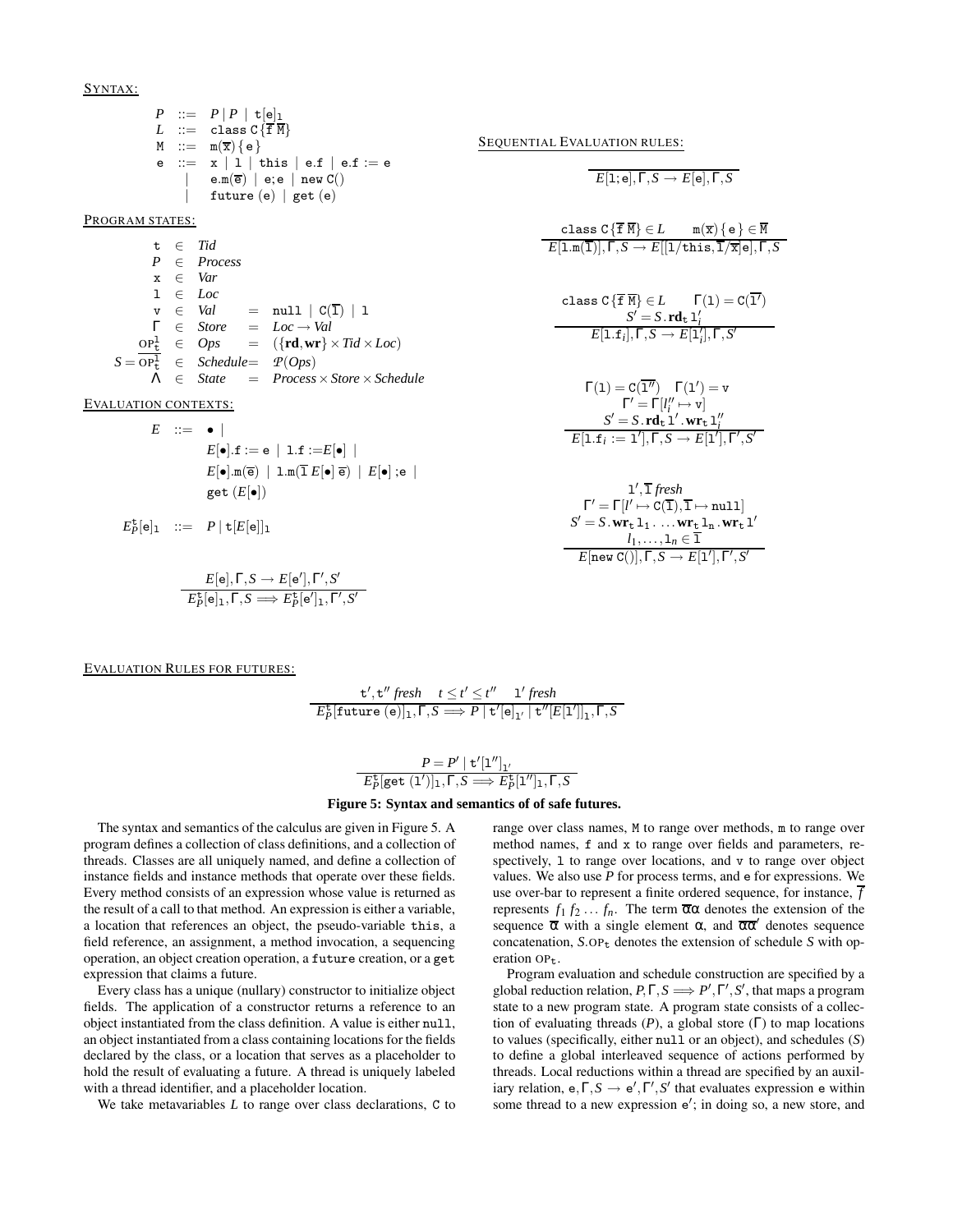SYNTAX:

$$
\begin{array}{ll} P & ::= & P \mid P \mid \mathbf{t}[e]_1 \\ L & ::= & \texttt{class } C \{ \overline{f} \, \overline{M} \} \\ \mathbf{M} & ::= & \mathbf{m}( \overline{\mathbf{x}}) \{ \mathbf{e} \} \\ \mathbf{e} & ::= & \mathbf{x} \mid 1 \mid \texttt{this} \mid \mathbf{e.f} \mid \mathbf{e.f} := \mathbf{e} \\ & & \mid & \mathbf{e.m}(\overline{e}) \mid \mathbf{e,e} \mid \mathbf{new} \ C() \\ & & \texttt{future} \ (\mathbf{e}) \mid \mathbf{get} \ (\mathbf{e}) \end{array}
$$

PROGRAM STATES:

t ∈ *Tid P* ∈ *Process* x ∈ *Var* l ∈ *Loc*  $v \in Val$  = null  $| C(\overline{1}) | 1$ <br>  $\Gamma \in Store$  =  $Loc \rightarrow Val$  $\in$  *Store* = *Loc*  $\rightarrow$  *Val*  $OP_t^1$ t ∈ *Ops* = ({**rd**,**wr**}×*Tid* ×*Loc*)  $S = \overline{OP_t^1}$  $\in$  *Schedule*=  $\mathcal{P}(Ops)$ Λ ∈ *State* = *Process*×*Store* ×*Schedule*

EVALUATION CONTEXTS:

$$
E \quad ::= \quad \bullet \mid
$$
\n
$$
E[\bullet].\mathbf{f} := \mathbf{e} \mid 1.\mathbf{f} := E[\bullet] \mid
$$
\n
$$
E[\bullet].\mathbf{m}(\overline{\mathbf{e}}) \mid 1.\mathbf{m}(\overline{1} E[\bullet] \overline{\mathbf{e}}) \mid E[\bullet]; \mathbf{e} \mid
$$
\n
$$
\text{get } (E[\bullet])
$$

$$
E^{\mathtt{t}}_P[\mathtt{e}]_1 \quad ::= \quad P \mid \mathtt{t}[E[\mathtt{e}]]_1
$$

$$
\frac{E[\mathbf{e}],\Gamma,S\rightarrow E[\mathbf{e}'],\Gamma',S'}{E^{\mathbf{t}}_P[\mathbf{e}]_1,\Gamma,S\Longrightarrow E^{\mathbf{t}}_P[\mathbf{e}'],\Gamma',S'}
$$

SEQUENTIAL EVALUATION RULES:

| class $C\{\overline{f} \overline{M}\}\in L$ $m(\overline{x})\{e\}\in \overline{M}$                                                                                                                                                                           |
|--------------------------------------------------------------------------------------------------------------------------------------------------------------------------------------------------------------------------------------------------------------|
| $E[1 \cdot m(\overline{1})], \Gamma, S \rightarrow E[1/\texttt{this}, \overline{1}/\overline{x}]e], \Gamma, S$                                                                                                                                               |
|                                                                                                                                                                                                                                                              |
| class $C\{\overline{f} \overline{M}\}\in L$ $\Gamma(1)=C(1')$                                                                                                                                                                                                |
| $S' = S \cdot \mathbf{rd}_{\mathsf{t}} 1'$                                                                                                                                                                                                                   |
| $E[1.f_i], \Gamma, S \to E[1'], \Gamma, S'$                                                                                                                                                                                                                  |
| $\Gamma(1) = C(\overline{1''}) \quad \Gamma(1') = v$<br>$\Gamma' = \Gamma[l''_i \mapsto v]$<br>$S' = S \cdot \mathbf{rd}_{\mathrm{t}} \mathbf{1}' \cdot \mathbf{wr}_{\mathrm{t}} \mathbf{1}''$<br>$E[1.f_i := 1'], \Gamma, S \rightarrow E[1'], \Gamma', S'$ |
| $1', 1$ fresh                                                                                                                                                                                                                                                |

 $E[1;e], \Gamma, S \rightarrow E[e], \Gamma, S$ 

| $1', \overline{1}$ fresh                                                                |
|-----------------------------------------------------------------------------------------|
| $\Gamma' = \Gamma[l' \mapsto C(\overline{1}), \overline{1} \mapsto null]$               |
| $S' = S \cdot \mathbf{wr}_{t} 1_1 \ldots \mathbf{wr}_{t} 1_n \ldots \mathbf{wr}_{t} 1'$ |
| $l_1,\ldots, l_n\in\mathbb{1}$                                                          |
| $E[\texttt{new C}()], \Gamma, S \rightarrow E[1'], \Gamma', S'$                         |

EVALUATION RULES FOR FUTURES:

 $t', t''$  *fresh*  $t \le t' \le t''$  1' *fresh*  $E^{\mathtt{t}}_P[\texttt{future}\ (\mathsf{e})]_1, \Gamma, S \Longrightarrow P\ \vert\ \mathtt{t}'[\mathsf{e}]_{1'} \ \vert\ \mathtt{t}''[E[1']]_1, \Gamma, S$ 

$$
\frac{P = P' \mid \mathbf{t}'[1'']_{1'}}{E^{\mathbf{t}}_P[\text{get } (1')]_1, \Gamma, S \Longrightarrow E^{\mathbf{t}}_P[1'']_1, \Gamma, S}
$$

#### **Figure 5: Syntax and semantics of of safe futures.**

The syntax and semantics of the calculus are given in Figure 5. A program defines a collection of class definitions, and a collection of threads. Classes are all uniquely named, and define a collection of instance fields and instance methods that operate over these fields. Every method consists of an expression whose value is returned as the result of a call to that method. An expression is either a variable, a location that references an object, the pseudo-variable this, a field reference, an assignment, a method invocation, a sequencing operation, an object creation operation, a future creation, or a get expression that claims a future.

Every class has a unique (nullary) constructor to initialize object fields. The application of a constructor returns a reference to an object instantiated from the class definition. A value is either null, an object instantiated from a class containing locations for the fields declared by the class, or a location that serves as a placeholder to hold the result of evaluating a future. A thread is uniquely labeled with a thread identifier, and a placeholder location.

We take metavariables *L* to range over class declarations, C to

range over class names, M to range over methods, m to range over method names, f and x to range over fields and parameters, respectively, 1 to range over locations, and v to range over object values. We also use *P* for process terms, and e for expressions. We use over-bar to represent a finite ordered sequence, for instance,  $\overline{f}$ represents  $f_1 f_2 ... f_n$ . The term  $\overline{\alpha} \alpha$  denotes the extension of the sequence  $\bar{\alpha}$  with a single element  $\alpha$ , and  $\bar{\alpha} \bar{\alpha}'$  denotes sequence concatenation,  $S.OP_t$  denotes the extension of schedule *S* with operation OP<sub>t</sub>.

Program evaluation and schedule construction are specified by a global reduction relation,  $P, \Gamma, S \implies P', \Gamma', S'$ , that maps a program state to a new program state. A program state consists of a collection of evaluating threads  $(P)$ , a global store  $(\Gamma)$  to map locations to values (specifically, either null or an object), and schedules (*S*) to define a global interleaved sequence of actions performed by threads. Local reductions within a thread are specified by an auxiliary relation,  $e, \Gamma, S \to e', \Gamma', S'$  that evaluates expression e within some thread to a new expression  $e'$ ; in doing so, a new store, and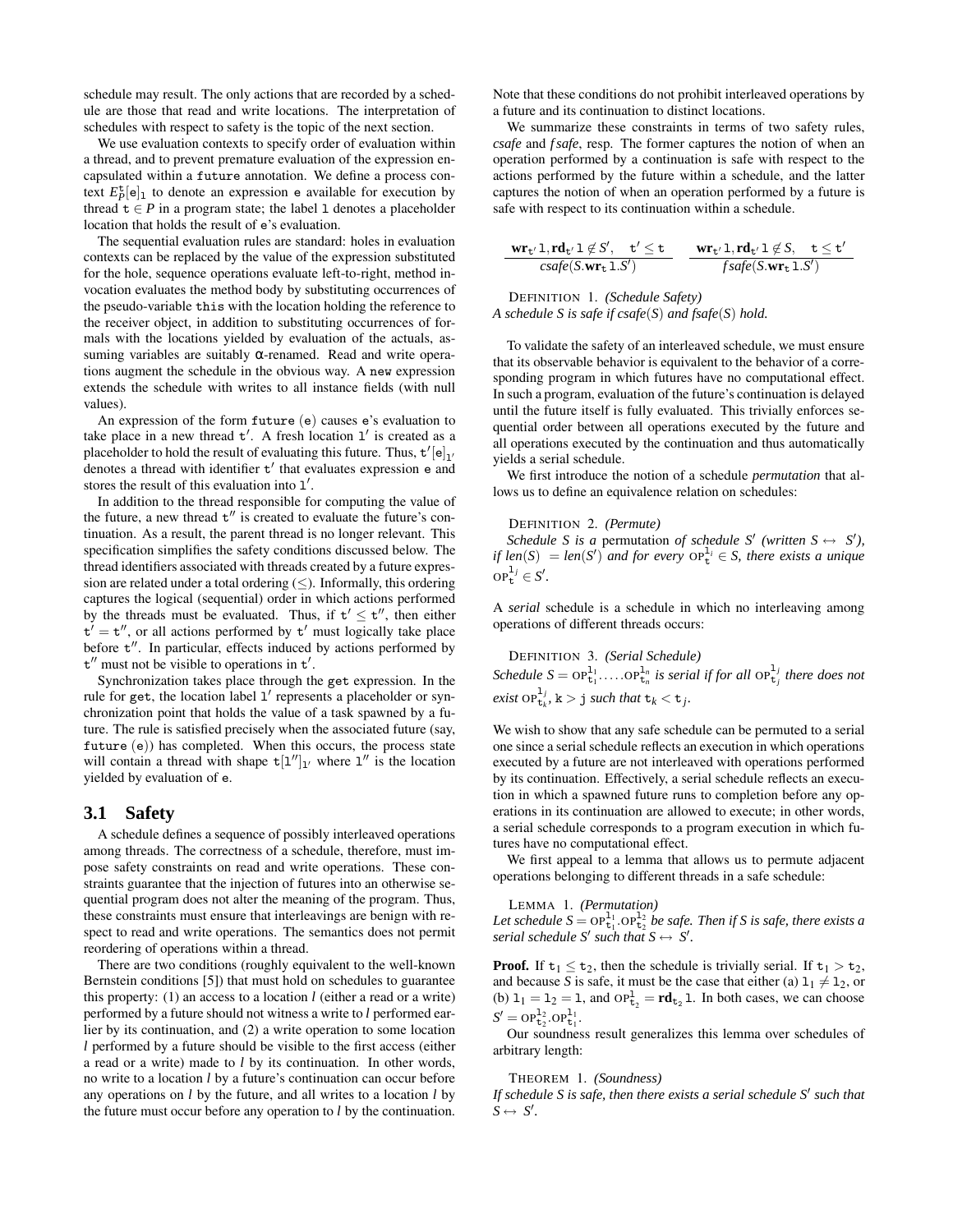schedule may result. The only actions that are recorded by a schedule are those that read and write locations. The interpretation of schedules with respect to safety is the topic of the next section.

We use evaluation contexts to specify order of evaluation within a thread, and to prevent premature evaluation of the expression encapsulated within a future annotation. We define a process context  $E_P^{\text{t}}[e]_1$  to denote an expression e available for execution by thread  $t \in P$  in a program state; the label 1 denotes a placeholder location that holds the result of e's evaluation.

The sequential evaluation rules are standard: holes in evaluation contexts can be replaced by the value of the expression substituted for the hole, sequence operations evaluate left-to-right, method invocation evaluates the method body by substituting occurrences of the pseudo-variable this with the location holding the reference to the receiver object, in addition to substituting occurrences of formals with the locations yielded by evaluation of the actuals, assuming variables are suitably  $\alpha$ -renamed. Read and write operations augment the schedule in the obvious way. A new expression extends the schedule with writes to all instance fields (with null values).

An expression of the form future (e) causes e's evaluation to take place in a new thread  $t'$ . A fresh location  $1'$  is created as a placeholder to hold the result of evaluating this future. Thus,  $t'[\mathbf{e}]_1$ denotes a thread with identifier  $t'$  that evaluates expression  $e$  and stores the result of this evaluation into 1'.

In addition to the thread responsible for computing the value of the future, a new thread  $t''$  is created to evaluate the future's continuation. As a result, the parent thread is no longer relevant. This specification simplifies the safety conditions discussed below. The thread identifiers associated with threads created by a future expression are related under a total ordering  $(\le)$ . Informally, this ordering captures the logical (sequential) order in which actions performed by the threads must be evaluated. Thus, if  $t' \leq t''$ , then either  $t' = t''$ , or all actions performed by  $t'$  must logically take place before t". In particular, effects induced by actions performed by  $t''$  must not be visible to operations in  $t'$ .

Synchronization takes place through the get expression. In the rule for get, the location label 1' represents a placeholder or synchronization point that holds the value of a task spawned by a future. The rule is satisfied precisely when the associated future (say, future (e)) has completed. When this occurs, the process state will contain a thread with shape  $t[1'']_{1'}$  where  $1''$  is the location yielded by evaluation of e.

# **3.1 Safety**

A schedule defines a sequence of possibly interleaved operations among threads. The correctness of a schedule, therefore, must impose safety constraints on read and write operations. These constraints guarantee that the injection of futures into an otherwise sequential program does not alter the meaning of the program. Thus, these constraints must ensure that interleavings are benign with respect to read and write operations. The semantics does not permit reordering of operations within a thread.

There are two conditions (roughly equivalent to the well-known Bernstein conditions [5]) that must hold on schedules to guarantee this property:  $(1)$  an access to a location *l* (either a read or a write) performed by a future should not witness a write to *l* performed earlier by its continuation, and (2) a write operation to some location *l* performed by a future should be visible to the first access (either a read or a write) made to *l* by its continuation. In other words, no write to a location *l* by a future's continuation can occur before any operations on *l* by the future, and all writes to a location *l* by the future must occur before any operation to *l* by the continuation.

Note that these conditions do not prohibit interleaved operations by a future and its continuation to distinct locations.

We summarize these constraints in terms of two safety rules, *csafe* and *fsafe*, resp. The former captures the notion of when an operation performed by a continuation is safe with respect to the actions performed by the future within a schedule, and the latter captures the notion of when an operation performed by a future is safe with respect to its continuation within a schedule.

$$
\begin{array}{cc}\textbf{wr}_{t'}\,1,rd_{t'}\,1\not\in S',&t'\leq t\\\hline \textit{csafe}(S.\textbf{wr}_{t}\,1.S')&\textit{fsafe}(S.\textbf{wr}_{t}\,1.S')\end{array}
$$

DEFINITION 1. *(Schedule Safety) A schedule S is safe if csafe*(*S*) *and fsafe*(*S*) *hold.*

To validate the safety of an interleaved schedule, we must ensure that its observable behavior is equivalent to the behavior of a corresponding program in which futures have no computational effect. In such a program, evaluation of the future's continuation is delayed until the future itself is fully evaluated. This trivially enforces sequential order between all operations executed by the future and all operations executed by the continuation and thus automatically yields a serial schedule.

We first introduce the notion of a schedule *permutation* that allows us to define an equivalence relation on schedules:

#### DEFINITION 2. *(Permute)*

*Schedule S is a* permutation *of schedule S*<sup>*'*</sup> (written  $S \leftrightarrow S'$ ), *if*  $len(S) = len(S')$  and for every  $OP_t^{\perp} \in S$ , there exists a unique  $\text{OP}_{\mathtt{t}}^{\mathtt{l}_j} \in S'.$ 

A *serial* schedule is a schedule in which no interleaving among operations of different threads occurs:

DEFINITION 3. *(Serial Schedule) Schedule*  $S = \text{OP}_{t_1}^{1_1} \dots \text{OP}_{t_n}^{1_n}$  *is serial if for all*  $\text{OP}_{t_j}^{1_j}$  *there does not*  $\int_{0}^{\infty} e^{ix} \cdot e^{ix} \cdot e^{ix} \cdot e^{ix} \cdot e^{ix} \cdot e^{ix} \cdot e^{ix} \cdot e^{ix} \cdot e^{ix} \cdot e^{ix} \cdot e^{ix} \cdot e^{ix} \cdot e^{ix} \cdot e^{ix} \cdot e^{ix} \cdot e^{ix} \cdot e^{ix} \cdot e^{ix} \cdot e^{ix} \cdot e^{ix} \cdot e^{ix} \cdot e^{ix} \cdot e^{ix} \cdot e^{ix} \cdot e^{ix} \cdot e^{ix} \cdot e^{ix} \cdot e^{ix} \cdot e^{ix} \cdot e^{ix} \cdot e^{ix} \cdot e^{ix} \cdot e^{ix} \cdot e^{ix} \cdot e^{ix} \cdot$ 

We wish to show that any safe schedule can be permuted to a serial one since a serial schedule reflects an execution in which operations executed by a future are not interleaved with operations performed by its continuation. Effectively, a serial schedule reflects an execution in which a spawned future runs to completion before any operations in its continuation are allowed to execute; in other words, a serial schedule corresponds to a program execution in which futures have no computational effect.

We first appeal to a lemma that allows us to permute adjacent operations belonging to different threads in a safe schedule:

LEMMA 1. *(Permutation)*

Let schedule  $S = \text{OP}_{t_1}^{1_1} \cdot \text{OP}_{t_2}^{1_2}$  be safe. Then if *S* is safe, there exists a *serial schedule*  $S'$  *such that*  $S \leftrightarrow S'$ *.* 

**Proof.** If  $t_1 \le t_2$ , then the schedule is trivially serial. If  $t_1 > t_2$ , and because *S* is safe, it must be the case that either (a)  $1_1 \neq 1_2$ , or (b)  $1_1 = 1_2 = 1$ , and  $OP_{t_2}^1 = \mathbf{rd}_{t_2} 1$ . In both cases, we can choose  $S' = OP_{t_2}^{1_2} \cdot OP_{t_1}^{1_1}.$ 

Our soundness result generalizes this lemma over schedules of arbitrary length:

#### THEOREM 1. *(Soundness)*

*If schedule S is safe, then there exists a serial schedule S* 0 *such that*  $S \leftrightarrow S'.$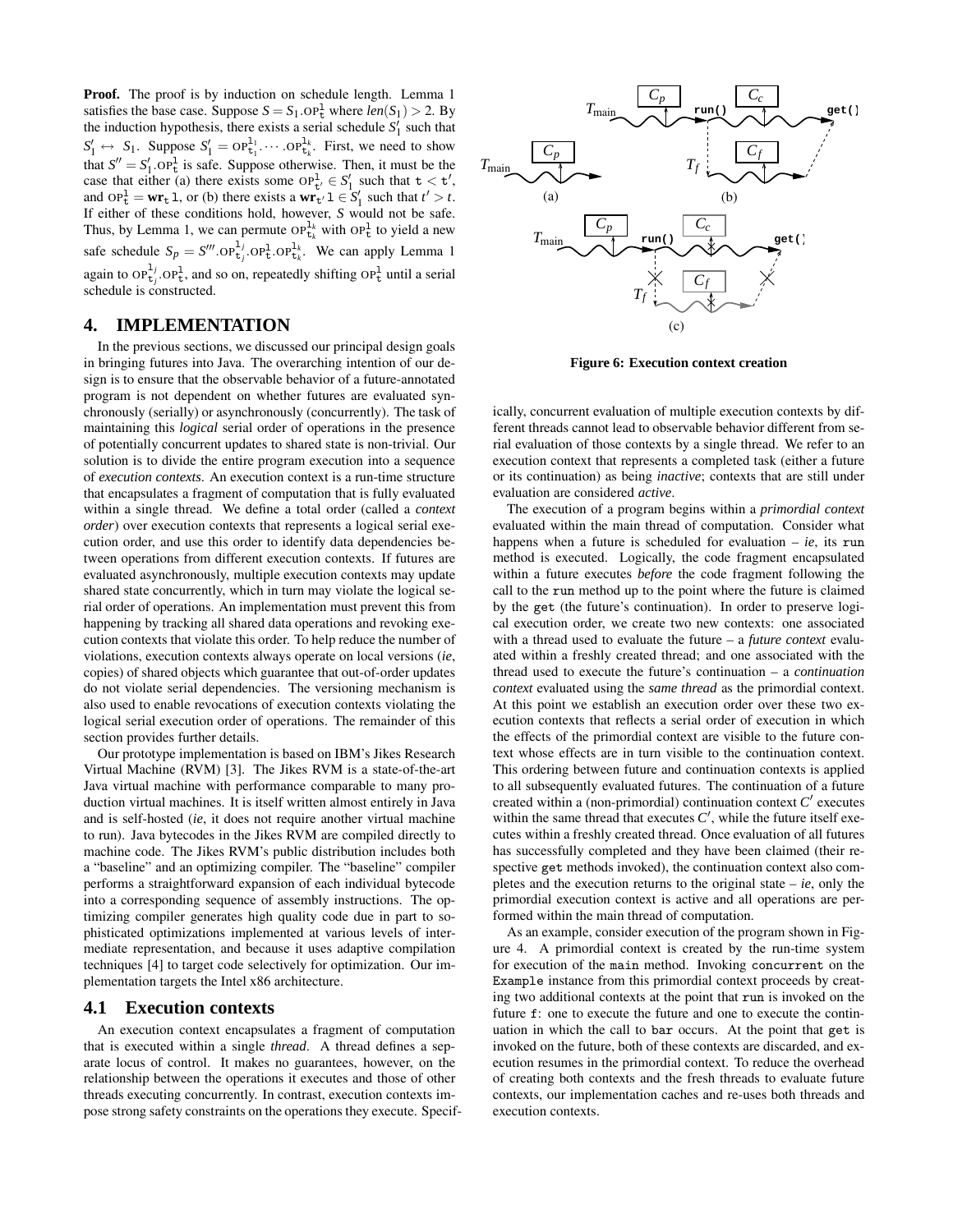**Proof.** The proof is by induction on schedule length. Lemma 1 satisfies the base case. Suppose  $S = S_1 \cdot \text{OP}_t^1$  where  $len(S_1) > 2$ . By the induction hypothesis, there exists a serial schedule  $S_1'$  such that  $S'_1 \leftrightarrow S_1$ . Suppose  $S'_1 = \mathbf{OP}_{\mathbf{t}_1}^{1_1} \cdots \mathbf{OP}_{\mathbf{t}_k}^{1_k}$ . First, we need to show that  $S'' = S_1' \cdot OP_{\text{t}}^1$  is safe. Suppose otherwise. Then, it must be the case that either (a) there exists some  $OP_{t'}^1 \in S'_1$  such that  $t < t'$ , and  $OP_t^1 = \mathbf{wr}_t \mathbf{1}$ , or (b) there exists a  $\mathbf{wr}_{t'} \mathbf{1} \in S'_1$  such that  $t' > t$ . If either of these conditions hold, however, *S* would not be safe. Thus, by Lemma 1, we can permute  $OP_{t_k}^{l_k}$  with  $OP_t^1$  to yield a new safe schedule  $S_p = S'''$ . $\text{OP}_{\mathbf{t}_j}^1$ . $\text{OP}_{\mathbf{t}}^1$ . $\text{OP}_{\mathbf{t}_k}^1$ . We can apply Lemma 1 again to  $\text{OP}^{\frac{1}{2}}_{t}$ ,  $\text{OP}^{\frac{1}{2}}_{t}$ , and so on, repeatedly shifting  $\text{OP}^{\frac{1}{2}}_{t}$  until a serial schedule is constructed.

# **4. IMPLEMENTATION**

In the previous sections, we discussed our principal design goals in bringing futures into Java. The overarching intention of our design is to ensure that the observable behavior of a future-annotated program is not dependent on whether futures are evaluated synchronously (serially) or asynchronously (concurrently). The task of maintaining this *logical* serial order of operations in the presence of potentially concurrent updates to shared state is non-trivial. Our solution is to divide the entire program execution into a sequence of *execution contexts*. An execution context is a run-time structure that encapsulates a fragment of computation that is fully evaluated within a single thread. We define a total order (called a *context order*) over execution contexts that represents a logical serial execution order, and use this order to identify data dependencies between operations from different execution contexts. If futures are evaluated asynchronously, multiple execution contexts may update shared state concurrently, which in turn may violate the logical serial order of operations. An implementation must prevent this from happening by tracking all shared data operations and revoking execution contexts that violate this order. To help reduce the number of violations, execution contexts always operate on local versions (*ie*, copies) of shared objects which guarantee that out-of-order updates do not violate serial dependencies. The versioning mechanism is also used to enable revocations of execution contexts violating the logical serial execution order of operations. The remainder of this section provides further details.

Our prototype implementation is based on IBM's Jikes Research Virtual Machine (RVM) [3]. The Jikes RVM is a state-of-the-art Java virtual machine with performance comparable to many production virtual machines. It is itself written almost entirely in Java and is self-hosted (*ie*, it does not require another virtual machine to run). Java bytecodes in the Jikes RVM are compiled directly to machine code. The Jikes RVM's public distribution includes both a "baseline" and an optimizing compiler. The "baseline" compiler performs a straightforward expansion of each individual bytecode into a corresponding sequence of assembly instructions. The optimizing compiler generates high quality code due in part to sophisticated optimizations implemented at various levels of intermediate representation, and because it uses adaptive compilation techniques [4] to target code selectively for optimization. Our implementation targets the Intel x86 architecture.

#### **4.1 Execution contexts**

An execution context encapsulates a fragment of computation that is executed within a single *thread*. A thread defines a separate locus of control. It makes no guarantees, however, on the relationship between the operations it executes and those of other threads executing concurrently. In contrast, execution contexts impose strong safety constraints on the operations they execute. Specif-



**Figure 6: Execution context creation**

ically, concurrent evaluation of multiple execution contexts by different threads cannot lead to observable behavior different from serial evaluation of those contexts by a single thread. We refer to an execution context that represents a completed task (either a future or its continuation) as being *inactive*; contexts that are still under evaluation are considered *active*.

The execution of a program begins within a *primordial context* evaluated within the main thread of computation. Consider what happens when a future is scheduled for evaluation  $- ie$ , its run method is executed. Logically, the code fragment encapsulated within a future executes *before* the code fragment following the call to the run method up to the point where the future is claimed by the get (the future's continuation). In order to preserve logical execution order, we create two new contexts: one associated with a thread used to evaluate the future – a *future context* evaluated within a freshly created thread; and one associated with the thread used to execute the future's continuation – a *continuation context* evaluated using the *same thread* as the primordial context. At this point we establish an execution order over these two execution contexts that reflects a serial order of execution in which the effects of the primordial context are visible to the future context whose effects are in turn visible to the continuation context. This ordering between future and continuation contexts is applied to all subsequently evaluated futures. The continuation of a future created within a (non-primordial) continuation context  $C'$  executes within the same thread that executes  $C'$ , while the future itself executes within a freshly created thread. Once evaluation of all futures has successfully completed and they have been claimed (their respective get methods invoked), the continuation context also completes and the execution returns to the original state  $- i\epsilon$ , only the primordial execution context is active and all operations are performed within the main thread of computation.

As an example, consider execution of the program shown in Figure 4. A primordial context is created by the run-time system for execution of the main method. Invoking concurrent on the Example instance from this primordial context proceeds by creating two additional contexts at the point that run is invoked on the future f: one to execute the future and one to execute the continuation in which the call to bar occurs. At the point that get is invoked on the future, both of these contexts are discarded, and execution resumes in the primordial context. To reduce the overhead of creating both contexts and the fresh threads to evaluate future contexts, our implementation caches and re-uses both threads and execution contexts.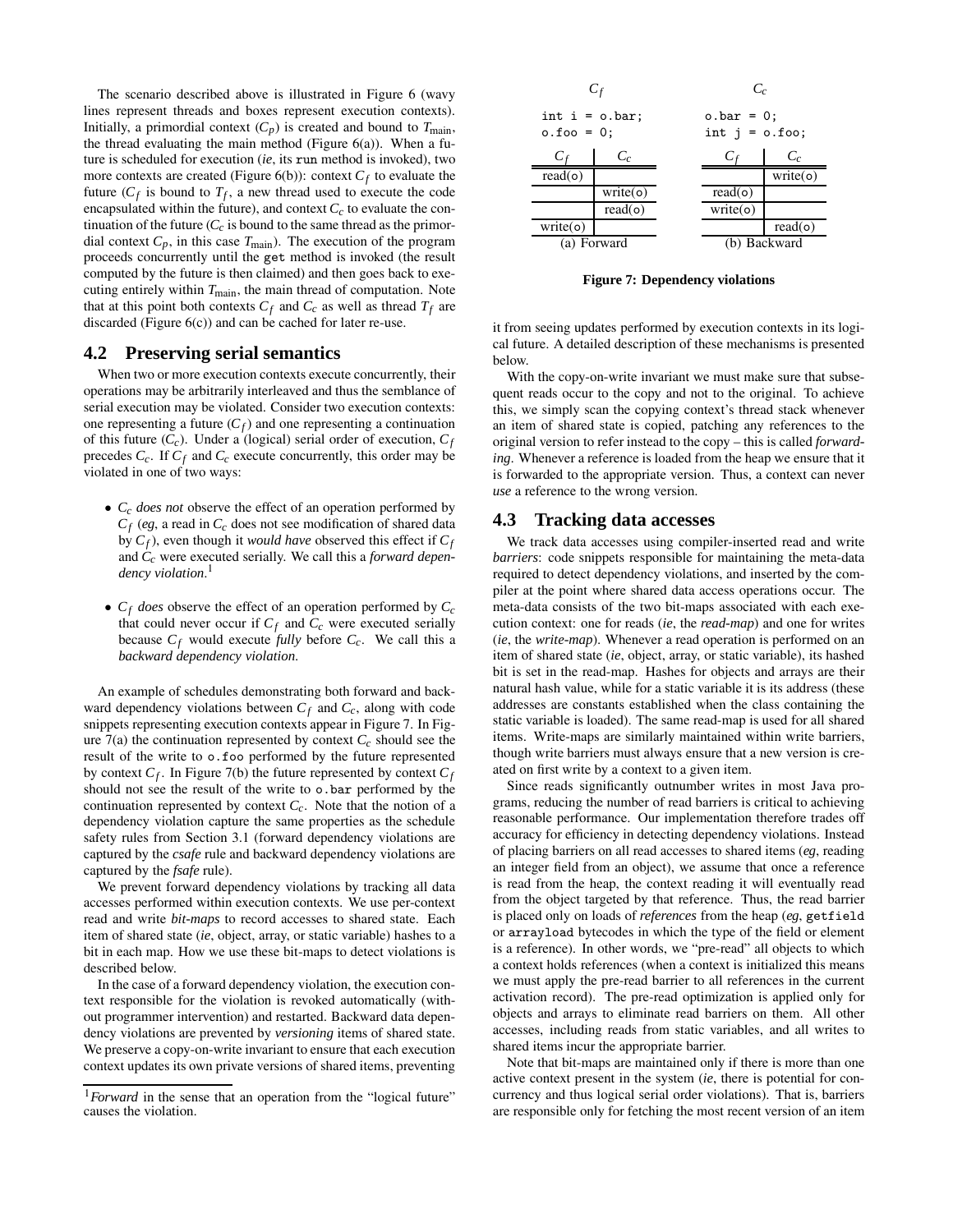The scenario described above is illustrated in Figure 6 (wavy lines represent threads and boxes represent execution contexts). Initially, a primordial context  $(C_p)$  is created and bound to  $T_{\text{main}}$ , the thread evaluating the main method (Figure  $6(a)$ ). When a future is scheduled for execution (*ie*, its run method is invoked), two more contexts are created (Figure  $6(b)$ ): context  $C_f$  to evaluate the future  $(C_f$  is bound to  $T_f$ , a new thread used to execute the code encapsulated within the future), and context  $C_c$  to evaluate the continuation of the future  $(C_c)$  is bound to the same thread as the primordial context  $C_p$ , in this case  $T_{\text{main}}$ ). The execution of the program proceeds concurrently until the get method is invoked (the result computed by the future is then claimed) and then goes back to executing entirely within  $T_{\text{main}}$ , the main thread of computation. Note that at this point both contexts  $C_f$  and  $C_c$  as well as thread  $T_f$  are discarded (Figure 6(c)) and can be cached for later re-use.

#### **4.2 Preserving serial semantics**

When two or more execution contexts execute concurrently, their operations may be arbitrarily interleaved and thus the semblance of serial execution may be violated. Consider two execution contexts: one representing a future  $(C_f)$  and one representing a continuation of this future (*Cc*). Under a (logical) serial order of execution, *C<sup>f</sup>* precedes  $C_c$ . If  $C_f$  and  $C_c$  execute concurrently, this order may be violated in one of two ways:

- *C<sup>c</sup> does not* observe the effect of an operation performed by *Cf* (*eg*, a read in *C<sup>c</sup>* does not see modification of shared data by *C<sup>f</sup>* ), even though it *would have* observed this effect if *C<sup>f</sup>* and *C<sup>c</sup>* were executed serially. We call this a *forward dependency violation*. 1
- *C<sup>f</sup> does* observe the effect of an operation performed by *C<sup>c</sup>* that could never occur if  $C_f$  and  $C_c$  were executed serially because  $C_f$  would execute *fully* before  $C_c$ . We call this a *backward dependency violation*.

An example of schedules demonstrating both forward and backward dependency violations between  $C_f$  and  $C_c$ , along with code snippets representing execution contexts appear in Figure 7. In Figure  $7(a)$  the continuation represented by context  $C_c$  should see the result of the write to o.foo performed by the future represented by context  $C_f$ . In Figure 7(b) the future represented by context  $C_f$ should not see the result of the write to o.bar performed by the continuation represented by context *Cc*. Note that the notion of a dependency violation capture the same properties as the schedule safety rules from Section 3.1 (forward dependency violations are captured by the *csafe* rule and backward dependency violations are captured by the *fsafe* rule).

We prevent forward dependency violations by tracking all data accesses performed within execution contexts. We use per-context read and write *bit-maps* to record accesses to shared state. Each item of shared state (*ie*, object, array, or static variable) hashes to a bit in each map. How we use these bit-maps to detect violations is described below.

In the case of a forward dependency violation, the execution context responsible for the violation is revoked automatically (without programmer intervention) and restarted. Backward data dependency violations are prevented by *versioning* items of shared state. We preserve a copy-on-write invariant to ensure that each execution context updates its own private versions of shared items, preventing



**Figure 7: Dependency violations**

it from seeing updates performed by execution contexts in its logical future. A detailed description of these mechanisms is presented below.

With the copy-on-write invariant we must make sure that subsequent reads occur to the copy and not to the original. To achieve this, we simply scan the copying context's thread stack whenever an item of shared state is copied, patching any references to the original version to refer instead to the copy – this is called *forwarding*. Whenever a reference is loaded from the heap we ensure that it is forwarded to the appropriate version. Thus, a context can never *use* a reference to the wrong version.

#### **4.3 Tracking data accesses**

We track data accesses using compiler-inserted read and write *barriers*: code snippets responsible for maintaining the meta-data required to detect dependency violations, and inserted by the compiler at the point where shared data access operations occur. The meta-data consists of the two bit-maps associated with each execution context: one for reads (*ie*, the *read-map*) and one for writes (*ie*, the *write-map*). Whenever a read operation is performed on an item of shared state (*ie*, object, array, or static variable), its hashed bit is set in the read-map. Hashes for objects and arrays are their natural hash value, while for a static variable it is its address (these addresses are constants established when the class containing the static variable is loaded). The same read-map is used for all shared items. Write-maps are similarly maintained within write barriers, though write barriers must always ensure that a new version is created on first write by a context to a given item.

Since reads significantly outnumber writes in most Java programs, reducing the number of read barriers is critical to achieving reasonable performance. Our implementation therefore trades off accuracy for efficiency in detecting dependency violations. Instead of placing barriers on all read accesses to shared items (*eg*, reading an integer field from an object), we assume that once a reference is read from the heap, the context reading it will eventually read from the object targeted by that reference. Thus, the read barrier is placed only on loads of *references* from the heap (*eg*, getfield or arrayload bytecodes in which the type of the field or element is a reference). In other words, we "pre-read" all objects to which a context holds references (when a context is initialized this means we must apply the pre-read barrier to all references in the current activation record). The pre-read optimization is applied only for objects and arrays to eliminate read barriers on them. All other accesses, including reads from static variables, and all writes to shared items incur the appropriate barrier.

Note that bit-maps are maintained only if there is more than one active context present in the system (*ie*, there is potential for concurrency and thus logical serial order violations). That is, barriers are responsible only for fetching the most recent version of an item

<sup>&</sup>lt;sup>1</sup>*Forward* in the sense that an operation from the "logical future" causes the violation.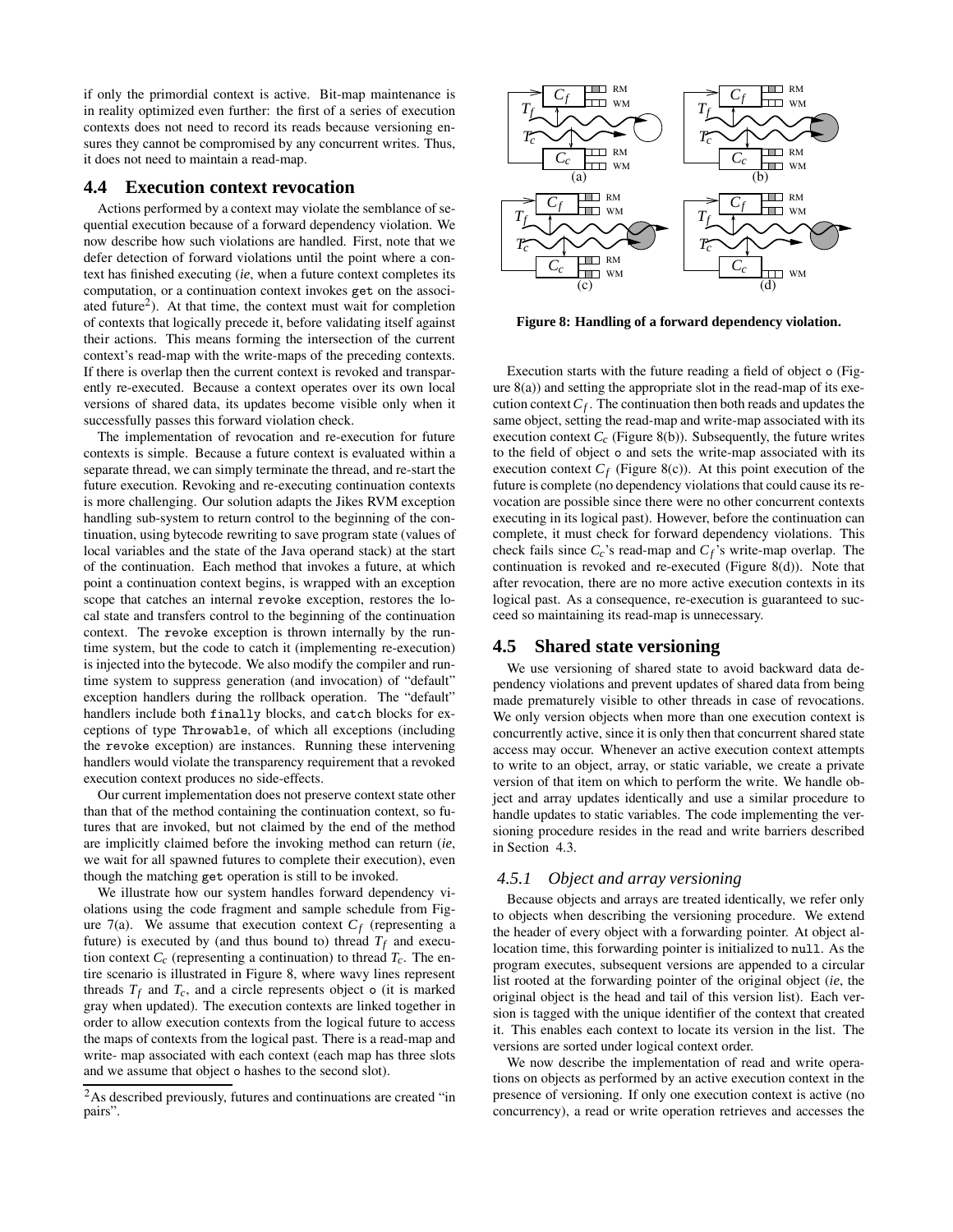if only the primordial context is active. Bit-map maintenance is in reality optimized even further: the first of a series of execution contexts does not need to record its reads because versioning ensures they cannot be compromised by any concurrent writes. Thus, it does not need to maintain a read-map.

#### **4.4 Execution context revocation**

Actions performed by a context may violate the semblance of sequential execution because of a forward dependency violation. We now describe how such violations are handled. First, note that we defer detection of forward violations until the point where a context has finished executing (*ie*, when a future context completes its computation, or a continuation context invokes get on the associated future<sup>2</sup>). At that time, the context must wait for completion of contexts that logically precede it, before validating itself against their actions. This means forming the intersection of the current context's read-map with the write-maps of the preceding contexts. If there is overlap then the current context is revoked and transparently re-executed. Because a context operates over its own local versions of shared data, its updates become visible only when it successfully passes this forward violation check.

The implementation of revocation and re-execution for future contexts is simple. Because a future context is evaluated within a separate thread, we can simply terminate the thread, and re-start the future execution. Revoking and re-executing continuation contexts is more challenging. Our solution adapts the Jikes RVM exception handling sub-system to return control to the beginning of the continuation, using bytecode rewriting to save program state (values of local variables and the state of the Java operand stack) at the start of the continuation. Each method that invokes a future, at which point a continuation context begins, is wrapped with an exception scope that catches an internal revoke exception, restores the local state and transfers control to the beginning of the continuation context. The revoke exception is thrown internally by the runtime system, but the code to catch it (implementing re-execution) is injected into the bytecode. We also modify the compiler and runtime system to suppress generation (and invocation) of "default" exception handlers during the rollback operation. The "default" handlers include both finally blocks, and catch blocks for exceptions of type Throwable, of which all exceptions (including the revoke exception) are instances. Running these intervening handlers would violate the transparency requirement that a revoked execution context produces no side-effects.

Our current implementation does not preserve context state other than that of the method containing the continuation context, so futures that are invoked, but not claimed by the end of the method are implicitly claimed before the invoking method can return (*ie*, we wait for all spawned futures to complete their execution), even though the matching get operation is still to be invoked.

We illustrate how our system handles forward dependency violations using the code fragment and sample schedule from Figure 7(a). We assume that execution context  $C_f$  (representing a future) is executed by (and thus bound to) thread  $T_f$  and execution context  $C_c$  (representing a continuation) to thread  $T_c$ . The entire scenario is illustrated in Figure 8, where wavy lines represent threads  $T_f$  and  $T_c$ , and a circle represents object o (it is marked gray when updated). The execution contexts are linked together in order to allow execution contexts from the logical future to access the maps of contexts from the logical past. There is a read-map and write- map associated with each context (each map has three slots and we assume that object o hashes to the second slot).



**Figure 8: Handling of a forward dependency violation.**

Execution starts with the future reading a field of object o (Figure  $8(a)$ ) and setting the appropriate slot in the read-map of its execution context  $C_f$ . The continuation then both reads and updates the same object, setting the read-map and write-map associated with its execution context  $C_c$  (Figure 8(b)). Subsequently, the future writes to the field of object o and sets the write-map associated with its execution context  $C_f$  (Figure 8(c)). At this point execution of the future is complete (no dependency violations that could cause itsrevocation are possible since there were no other concurrent contexts executing in its logical past). However, before the continuation can complete, it must check for forward dependency violations. This check fails since  $C_c$ 's read-map and  $C_f$ 's write-map overlap. The continuation is revoked and re-executed (Figure 8(d)). Note that after revocation, there are no more active execution contexts in its logical past. As a consequence, re-execution is guaranteed to succeed so maintaining its read-map is unnecessary.

## **4.5 Shared state versioning**

We use versioning of shared state to avoid backward data dependency violations and prevent updates of shared data from being made prematurely visible to other threads in case of revocations. We only version objects when more than one execution context is concurrently active, since it is only then that concurrent shared state access may occur. Whenever an active execution context attempts to write to an object, array, or static variable, we create a private version of that item on which to perform the write. We handle object and array updates identically and use a similar procedure to handle updates to static variables. The code implementing the versioning procedure resides in the read and write barriers described in Section 4.3.

#### *4.5.1 Object and array versioning*

Because objects and arrays are treated identically, we refer only to objects when describing the versioning procedure. We extend the header of every object with a forwarding pointer. At object allocation time, this forwarding pointer is initialized to null. As the program executes, subsequent versions are appended to a circular list rooted at the forwarding pointer of the original object (*ie*, the original object is the head and tail of this version list). Each version is tagged with the unique identifier of the context that created it. This enables each context to locate its version in the list. The versions are sorted under logical context order.

We now describe the implementation of read and write operations on objects as performed by an active execution context in the presence of versioning. If only one execution context is active (no concurrency), a read or write operation retrieves and accesses the

<sup>&</sup>lt;sup>2</sup>As described previously, futures and continuations are created "in pairs".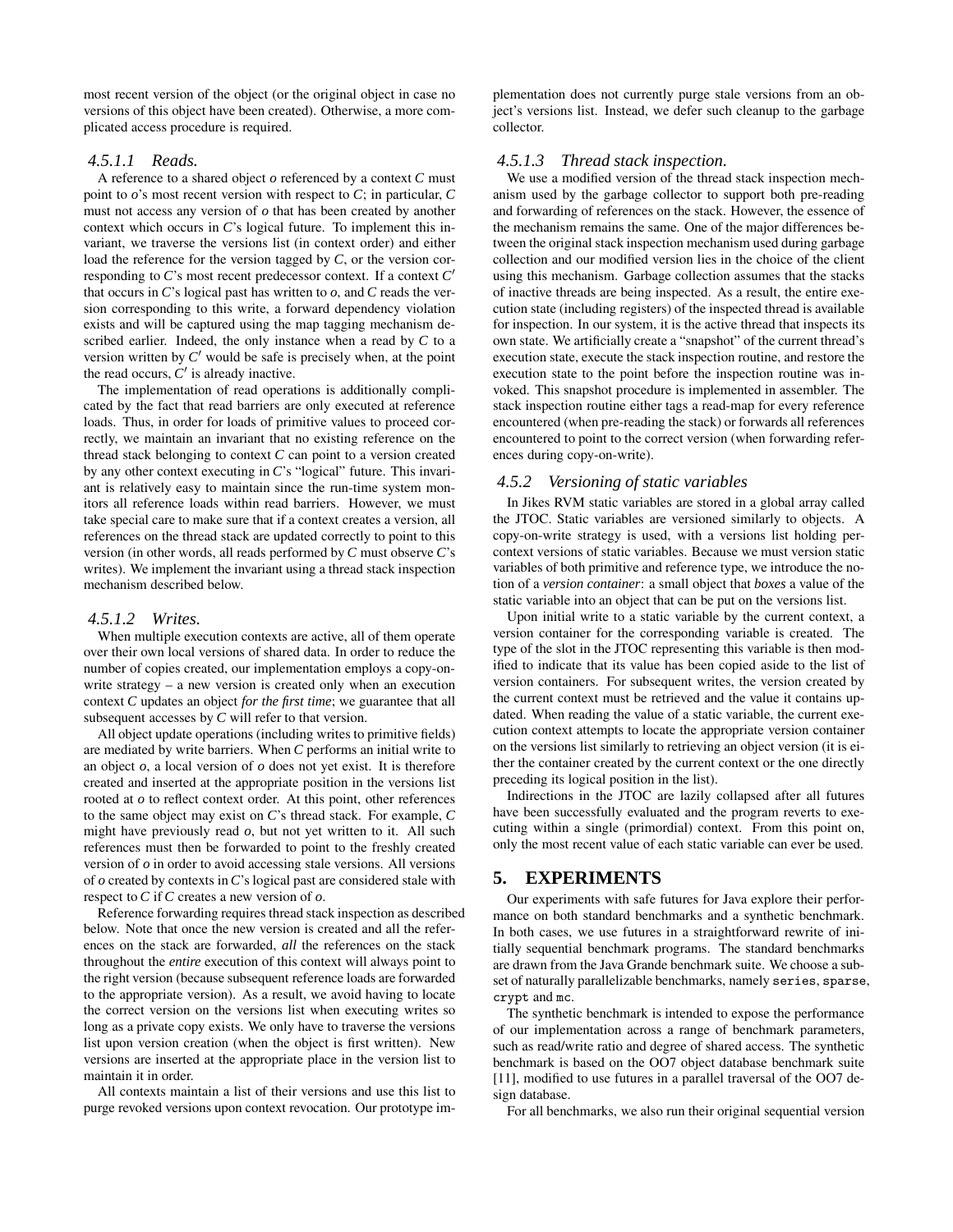most recent version of the object (or the original object in case no versions of this object have been created). Otherwise, a more complicated access procedure is required.

## *4.5.1.1 Reads.*

A reference to a shared object *o* referenced by a context *C* must point to *o*'s most recent version with respect to *C*; in particular, *C* must not access any version of *o* that has been created by another context which occurs in *C*'s logical future. To implement this invariant, we traverse the versions list (in context order) and either load the reference for the version tagged by *C*, or the version corresponding to *C*'s most recent predecessor context. If a context *C* 0 that occurs in  $C$ 's logical past has written to  $o$ , and  $C$  reads the version corresponding to this write, a forward dependency violation exists and will be captured using the map tagging mechanism described earlier. Indeed, the only instance when a read by *C* to a version written by  $C'$  would be safe is precisely when, at the point the read occurs,  $C'$  is already inactive.

The implementation of read operations is additionally complicated by the fact that read barriers are only executed at reference loads. Thus, in order for loads of primitive values to proceed correctly, we maintain an invariant that no existing reference on the thread stack belonging to context *C* can point to a version created by any other context executing in *C*'s "logical" future. This invariant is relatively easy to maintain since the run-time system monitors all reference loads within read barriers. However, we must take special care to make sure that if a context creates a version, all references on the thread stack are updated correctly to point to this version (in other words, all reads performed by *C* must observe *C*'s writes). We implement the invariant using a thread stack inspection mechanism described below.

#### *4.5.1.2 Writes.*

When multiple execution contexts are active, all of them operate over their own local versions of shared data. In order to reduce the number of copies created, our implementation employs a copy-onwrite strategy – a new version is created only when an execution context *C* updates an object *for the first time*; we guarantee that all subsequent accesses by *C* will refer to that version.

All object update operations (including writes to primitive fields) are mediated by write barriers. When *C* performs an initial write to an object *o*, a local version of *o* does not yet exist. It is therefore created and inserted at the appropriate position in the versions list rooted at *o* to reflect context order. At this point, other references to the same object may exist on *C*'s thread stack. For example, *C* might have previously read *o*, but not yet written to it. All such references must then be forwarded to point to the freshly created version of *o* in order to avoid accessing stale versions. All versions of *o* created by contexts in*C*'s logical past are considered stale with respect to *C* if *C* creates a new version of *o*.

Reference forwarding requires thread stack inspection as described below. Note that once the new version is created and all the references on the stack are forwarded, *all* the references on the stack throughout the *entire* execution of this context will always point to the right version (because subsequent reference loads are forwarded to the appropriate version). As a result, we avoid having to locate the correct version on the versions list when executing writes so long as a private copy exists. We only have to traverse the versions list upon version creation (when the object is first written). New versions are inserted at the appropriate place in the version list to maintain it in order.

All contexts maintain a list of their versions and use this list to purge revoked versions upon context revocation. Our prototype implementation does not currently purge stale versions from an object's versions list. Instead, we defer such cleanup to the garbage collector.

# *4.5.1.3 Thread stack inspection.*

We use a modified version of the thread stack inspection mechanism used by the garbage collector to support both pre-reading and forwarding of references on the stack. However, the essence of the mechanism remains the same. One of the major differences between the original stack inspection mechanism used during garbage collection and our modified version lies in the choice of the client using this mechanism. Garbage collection assumes that the stacks of inactive threads are being inspected. As a result, the entire execution state (including registers) of the inspected thread is available for inspection. In our system, it is the active thread that inspects its own state. We artificially create a "snapshot" of the current thread's execution state, execute the stack inspection routine, and restore the execution state to the point before the inspection routine was invoked. This snapshot procedure is implemented in assembler. The stack inspection routine either tags a read-map for every reference encountered (when pre-reading the stack) or forwards all references encountered to point to the correct version (when forwarding references during copy-on-write).

#### *4.5.2 Versioning of static variables*

In Jikes RVM static variables are stored in a global array called the JTOC. Static variables are versioned similarly to objects. A copy-on-write strategy is used, with a versions list holding percontext versions of static variables. Because we must version static variables of both primitive and reference type, we introduce the notion of a *version container*: a small object that *boxes* a value of the static variable into an object that can be put on the versions list.

Upon initial write to a static variable by the current context, a version container for the corresponding variable is created. The type of the slot in the JTOC representing this variable is then modified to indicate that its value has been copied aside to the list of version containers. For subsequent writes, the version created by the current context must be retrieved and the value it contains updated. When reading the value of a static variable, the current execution context attempts to locate the appropriate version container on the versions list similarly to retrieving an object version (it is either the container created by the current context or the one directly preceding its logical position in the list).

Indirections in the JTOC are lazily collapsed after all futures have been successfully evaluated and the program reverts to executing within a single (primordial) context. From this point on, only the most recent value of each static variable can ever be used.

## **5. EXPERIMENTS**

Our experiments with safe futures for Java explore their performance on both standard benchmarks and a synthetic benchmark. In both cases, we use futures in a straightforward rewrite of initially sequential benchmark programs. The standard benchmarks are drawn from the Java Grande benchmark suite. We choose a subset of naturally parallelizable benchmarks, namely series, sparse, crypt and mc.

The synthetic benchmark is intended to expose the performance of our implementation across a range of benchmark parameters, such as read/write ratio and degree of shared access. The synthetic benchmark is based on the OO7 object database benchmark suite [11], modified to use futures in a parallel traversal of the OO7 design database.

For all benchmarks, we also run their original sequential version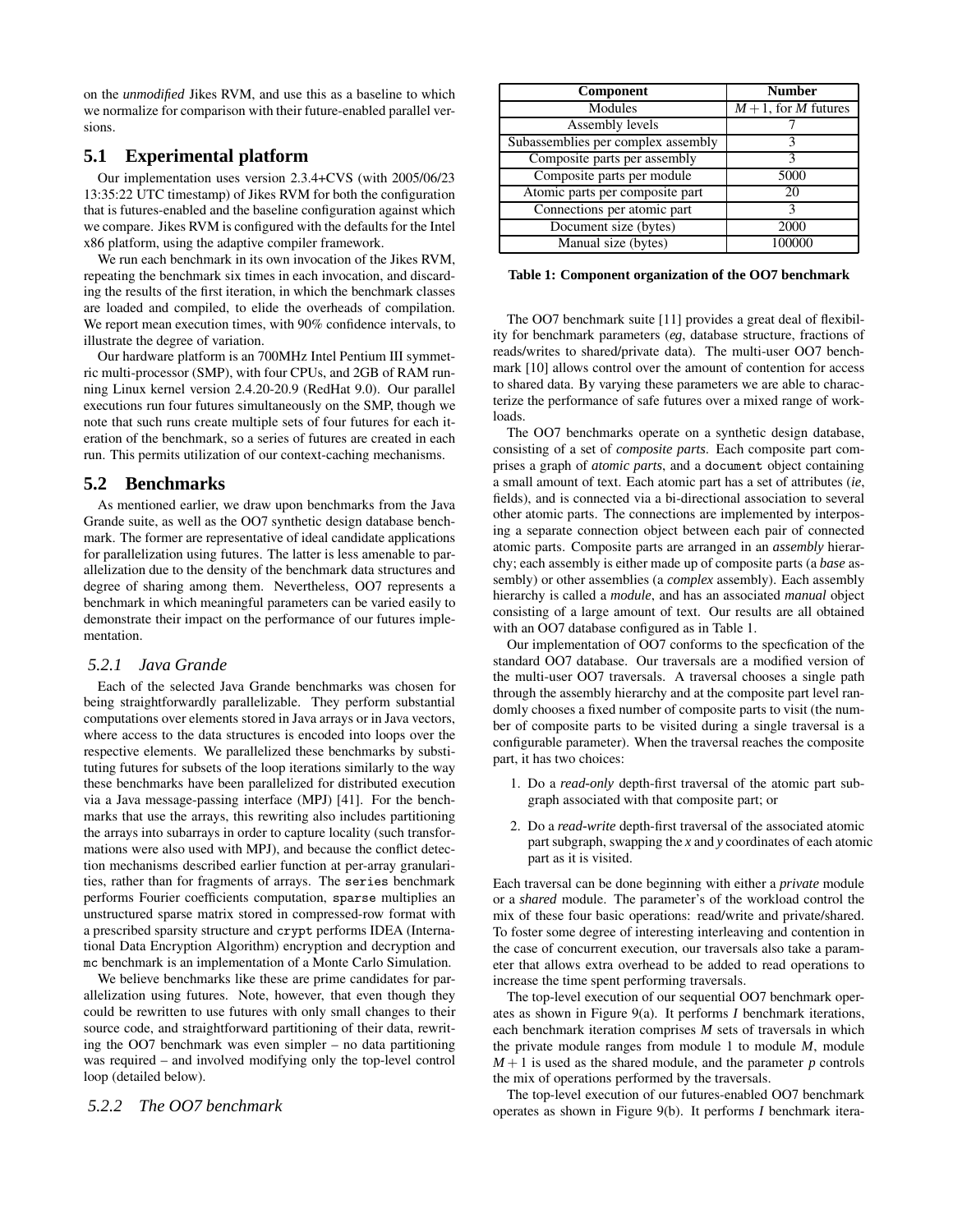on the *unmodified* Jikes RVM, and use this as a baseline to which we normalize for comparison with their future-enabled parallel versions.

# **5.1 Experimental platform**

Our implementation uses version 2.3.4+CVS (with 2005/06/23 13:35:22 UTC timestamp) of Jikes RVM for both the configuration that is futures-enabled and the baseline configuration against which we compare. Jikes RVM is configured with the defaults for the Intel x86 platform, using the adaptive compiler framework.

We run each benchmark in its own invocation of the Jikes RVM, repeating the benchmark six times in each invocation, and discarding the results of the first iteration, in which the benchmark classes are loaded and compiled, to elide the overheads of compilation. We report mean execution times, with 90% confidence intervals, to illustrate the degree of variation.

Our hardware platform is an 700MHz Intel Pentium III symmetric multi-processor (SMP), with four CPUs, and 2GB of RAM running Linux kernel version 2.4.20-20.9 (RedHat 9.0). Our parallel executions run four futures simultaneously on the SMP, though we note that such runs create multiple sets of four futures for each iteration of the benchmark, so a series of futures are created in each run. This permits utilization of our context-caching mechanisms.

# **5.2 Benchmarks**

As mentioned earlier, we draw upon benchmarks from the Java Grande suite, as well as the OO7 synthetic design database benchmark. The former are representative of ideal candidate applications for parallelization using futures. The latter is less amenable to parallelization due to the density of the benchmark data structures and degree of sharing among them. Nevertheless, OO7 represents a benchmark in which meaningful parameters can be varied easily to demonstrate their impact on the performance of our futures implementation.

## *5.2.1 Java Grande*

Each of the selected Java Grande benchmarks was chosen for being straightforwardly parallelizable. They perform substantial computations over elements stored in Java arrays or in Java vectors, where access to the data structures is encoded into loops over the respective elements. We parallelized these benchmarks by substituting futures for subsets of the loop iterations similarly to the way these benchmarks have been parallelized for distributed execution via a Java message-passing interface (MPJ) [41]. For the benchmarks that use the arrays, this rewriting also includes partitioning the arrays into subarrays in order to capture locality (such transformations were also used with MPJ), and because the conflict detection mechanisms described earlier function at per-array granularities, rather than for fragments of arrays. The series benchmark performs Fourier coefficients computation, sparse multiplies an unstructured sparse matrix stored in compressed-row format with a prescribed sparsity structure and crypt performs IDEA (International Data Encryption Algorithm) encryption and decryption and mc benchmark is an implementation of a Monte Carlo Simulation.

We believe benchmarks like these are prime candidates for parallelization using futures. Note, however, that even though they could be rewritten to use futures with only small changes to their source code, and straightforward partitioning of their data, rewriting the OO7 benchmark was even simpler – no data partitioning was required – and involved modifying only the top-level control loop (detailed below).

#### *5.2.2 The OO7 benchmark*

| <b>Component</b>                   | <b>Number</b>         |
|------------------------------------|-----------------------|
| Modules                            | $M+1$ , for M futures |
| Assembly levels                    |                       |
| Subassemblies per complex assembly | 3                     |
| Composite parts per assembly       | 3                     |
| Composite parts per module         | 5000                  |
| Atomic parts per composite part    | 20                    |
| Connections per atomic part        | 3                     |
| Document size (bytes)              | 2000                  |
| Manual size (bytes)                |                       |

**Table 1: Component organization of the OO7 benchmark**

The OO7 benchmark suite [11] provides a great deal of flexibility for benchmark parameters (*eg*, database structure, fractions of reads/writes to shared/private data). The multi-user OO7 benchmark [10] allows control over the amount of contention for access to shared data. By varying these parameters we are able to characterize the performance of safe futures over a mixed range of workloads.

The OO7 benchmarks operate on a synthetic design database, consisting of a set of *composite parts*. Each composite part comprises a graph of *atomic parts*, and a document object containing a small amount of text. Each atomic part has a set of attributes (*ie*, fields), and is connected via a bi-directional association to several other atomic parts. The connections are implemented by interposing a separate connection object between each pair of connected atomic parts. Composite parts are arranged in an *assembly* hierarchy; each assembly is either made up of composite parts (a *base* assembly) or other assemblies (a *complex* assembly). Each assembly hierarchy is called a *module*, and has an associated *manual* object consisting of a large amount of text. Our results are all obtained with an OO7 database configured as in Table 1.

Our implementation of OO7 conforms to the specfication of the standard OO7 database. Our traversals are a modified version of the multi-user OO7 traversals. A traversal chooses a single path through the assembly hierarchy and at the composite part level randomly chooses a fixed number of composite parts to visit (the number of composite parts to be visited during a single traversal is a configurable parameter). When the traversal reaches the composite part, it has two choices:

- 1. Do a *read-only* depth-first traversal of the atomic part subgraph associated with that composite part; or
- 2. Do a *read-write* depth-first traversal of the associated atomic partsubgraph, swapping the *x* and *y* coordinates of each atomic part as it is visited.

Each traversal can be done beginning with either a *private* module or a *shared* module. The parameter's of the workload control the mix of these four basic operations: read/write and private/shared. To foster some degree of interesting interleaving and contention in the case of concurrent execution, our traversals also take a parameter that allows extra overhead to be added to read operations to increase the time spent performing traversals.

The top-level execution of our sequential OO7 benchmark operates as shown in Figure 9(a). It performs *I* benchmark iterations, each benchmark iteration comprises *M* sets of traversals in which the private module ranges from module 1 to module *M*, module  $M+1$  is used as the shared module, and the parameter *p* controls the mix of operations performed by the traversals.

The top-level execution of our futures-enabled OO7 benchmark operates as shown in Figure 9(b). It performs *I* benchmark itera-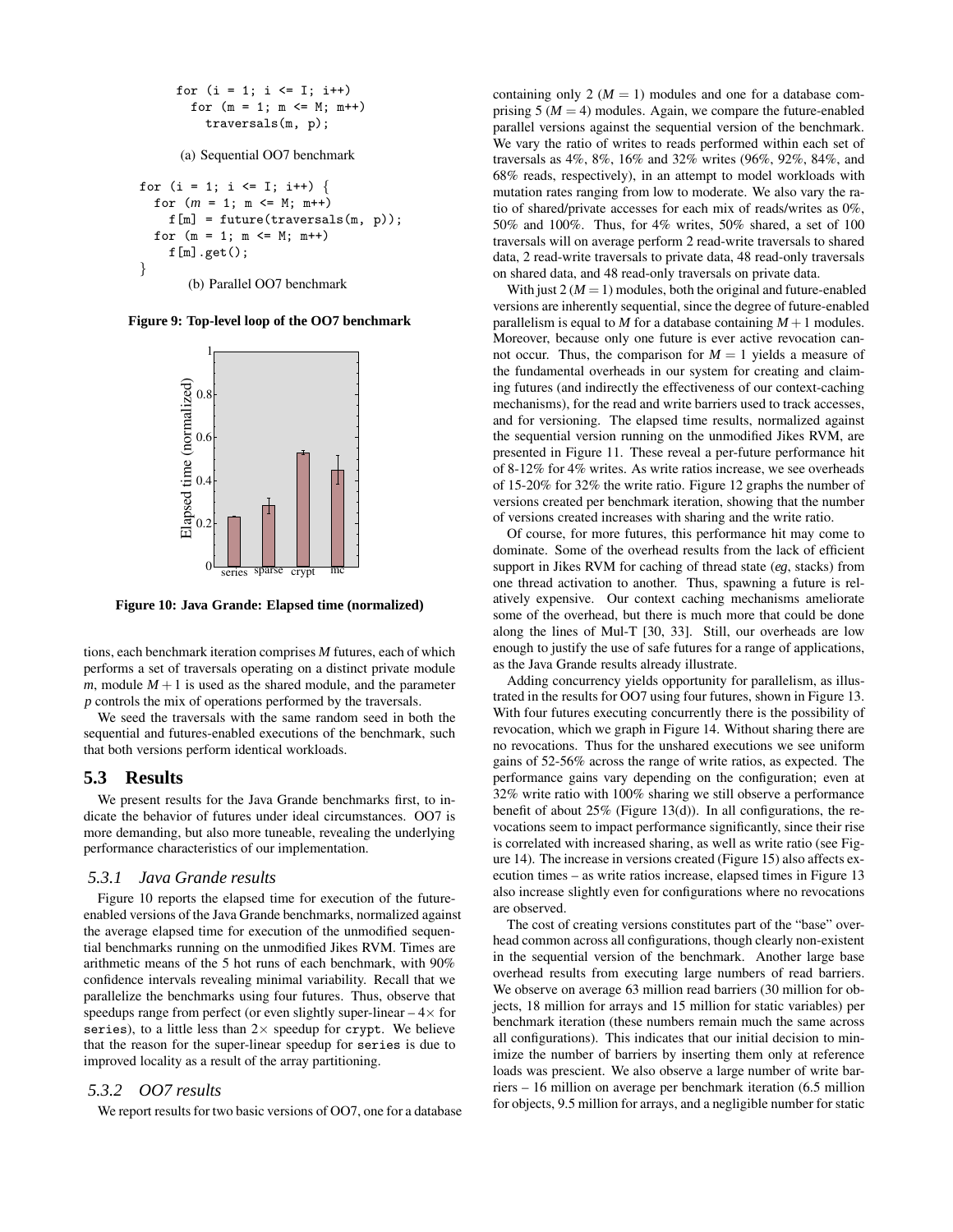```
for (i = 1; i \le I; i++)for (m = 1; m \le M; m++)traversals(m, p);
     (a) Sequential OO7 benchmark
for (i = 1; i \le I; i++) {
 for (m = 1; m <= M; m++)
    f[m] = future(traversals(m, p));for (m = 1; m \le M; m++)f[m].get();
}
      (b) Parallel OO7 benchmark
```
**Figure 9: Top-level loop of the OO7 benchmark**



**Figure 10: Java Grande: Elapsed time (normalized)**

tions, each benchmark iteration comprises *M* futures, each of which performs a set of traversals operating on a distinct private module *m*, module  $M + 1$  is used as the shared module, and the parameter *p* controls the mix of operations performed by the traversals.

We seed the traversals with the same random seed in both the sequential and futures-enabled executions of the benchmark, such that both versions perform identical workloads.

## **5.3 Results**

We present results for the Java Grande benchmarks first, to indicate the behavior of futures under ideal circumstances. OO7 is more demanding, but also more tuneable, revealing the underlying performance characteristics of our implementation.

#### *5.3.1 Java Grande results*

Figure 10 reports the elapsed time for execution of the futureenabled versions of the Java Grande benchmarks, normalized against the average elapsed time for execution of the unmodified sequential benchmarks running on the unmodified Jikes RVM. Times are arithmetic means of the 5 hot runs of each benchmark, with 90% confidence intervals revealing minimal variability. Recall that we parallelize the benchmarks using four futures. Thus, observe that speedups range from perfect (or even slightly super-linear  $-4\times$  for series), to a little less than  $2 \times$  speedup for crypt. We believe that the reason for the super-linear speedup for series is due to improved locality as a result of the array partitioning.

# *5.3.2 OO7 results*

We report results for two basic versions of OO7, one for a database

containing only 2 ( $M = 1$ ) modules and one for a database comprising  $5 (M = 4)$  modules. Again, we compare the future-enabled parallel versions against the sequential version of the benchmark. We vary the ratio of writes to reads performed within each set of traversals as 4%, 8%, 16% and 32% writes (96%, 92%, 84%, and 68% reads, respectively), in an attempt to model workloads with mutation rates ranging from low to moderate. We also vary the ratio of shared/private accesses for each mix of reads/writes as 0%, 50% and 100%. Thus, for 4% writes, 50% shared, a set of 100 traversals will on average perform 2 read-write traversals to shared data, 2 read-write traversals to private data, 48 read-only traversals on shared data, and 48 read-only traversals on private data.

With just  $2(M = 1)$  modules, both the original and future-enabled versions are inherently sequential, since the degree of future-enabled parallelism is equal to *M* for a database containing  $M + 1$  modules. Moreover, because only one future is ever active revocation cannot occur. Thus, the comparison for  $M = 1$  yields a measure of the fundamental overheads in our system for creating and claiming futures (and indirectly the effectiveness of our context-caching mechanisms), for the read and write barriers used to track accesses, and for versioning. The elapsed time results, normalized against the sequential version running on the unmodified Jikes RVM, are presented in Figure 11. These reveal a per-future performance hit of 8-12% for 4% writes. As write ratios increase, we see overheads of 15-20% for 32% the write ratio. Figure 12 graphs the number of versions created per benchmark iteration, showing that the number of versions created increases with sharing and the write ratio.

Of course, for more futures, this performance hit may come to dominate. Some of the overhead results from the lack of efficient support in Jikes RVM for caching of thread state (*eg*, stacks) from one thread activation to another. Thus, spawning a future is relatively expensive. Our context caching mechanisms ameliorate some of the overhead, but there is much more that could be done along the lines of Mul-T [30, 33]. Still, our overheads are low enough to justify the use of safe futures for a range of applications, as the Java Grande results already illustrate.

Adding concurrency yields opportunity for parallelism, as illustrated in the results for OO7 using four futures, shown in Figure 13. With four futures executing concurrently there is the possibility of revocation, which we graph in Figure 14. Without sharing there are no revocations. Thus for the unshared executions we see uniform gains of 52-56% across the range of write ratios, as expected. The performance gains vary depending on the configuration; even at 32% write ratio with 100% sharing we still observe a performance benefit of about 25% (Figure 13(d)). In all configurations, the revocations seem to impact performance significantly, since their rise is correlated with increased sharing, as well as write ratio (see Figure 14). The increase in versions created (Figure 15) also affects execution times – as write ratios increase, elapsed times in Figure 13 also increase slightly even for configurations where no revocations are observed.

The cost of creating versions constitutes part of the "base" overhead common across all configurations, though clearly non-existent in the sequential version of the benchmark. Another large base overhead results from executing large numbers of read barriers. We observe on average 63 million read barriers (30 million for objects, 18 million for arrays and 15 million for static variables) per benchmark iteration (these numbers remain much the same across all configurations). This indicates that our initial decision to minimize the number of barriers by inserting them only at reference loads was prescient. We also observe a large number of write barriers – 16 million on average per benchmark iteration (6.5 million for objects, 9.5 million for arrays, and a negligible number for static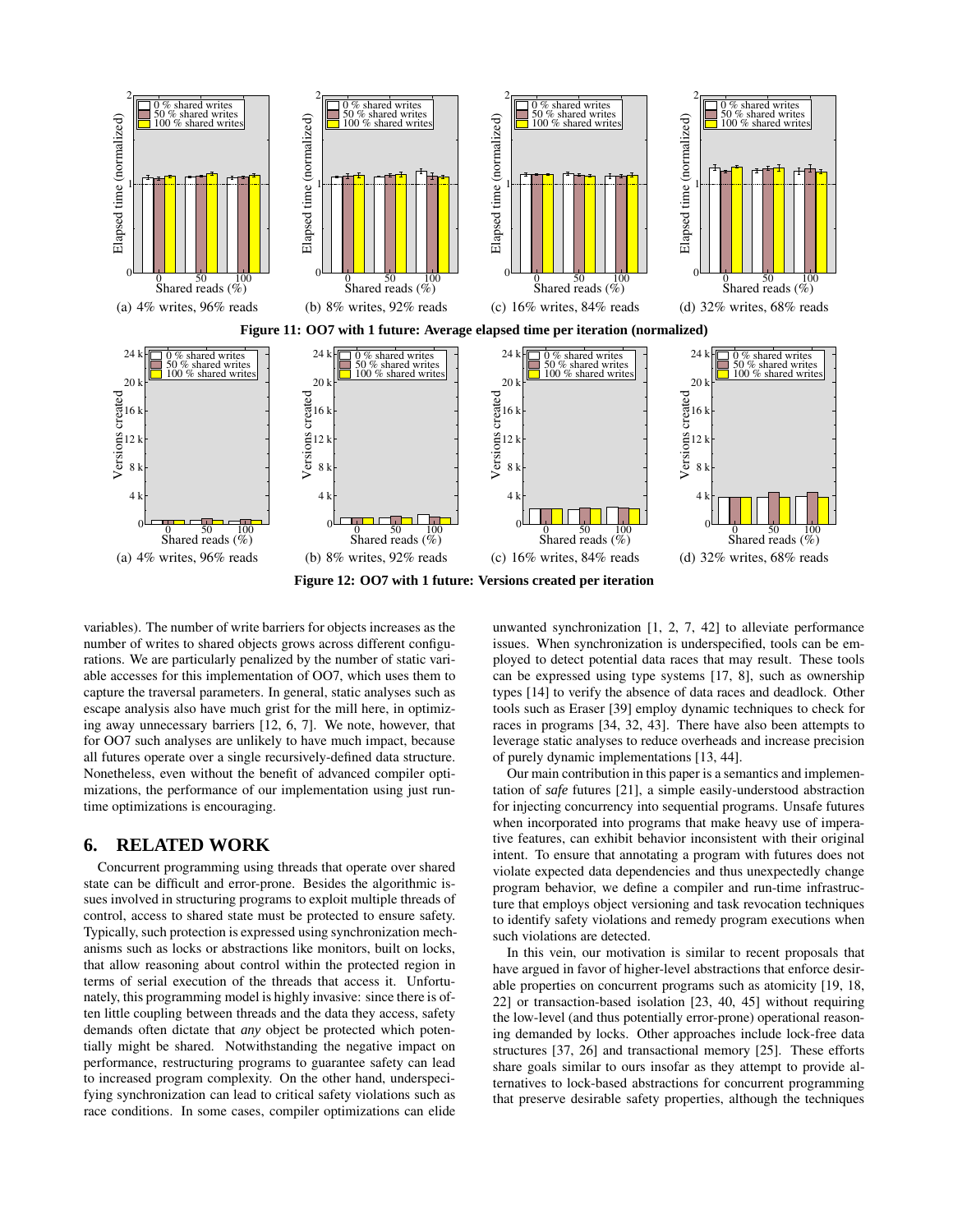

**Figure 12: OO7 with 1 future: Versions created per iteration**

variables). The number of write barriers for objects increases as the number of writes to shared objects grows across different configurations. We are particularly penalized by the number of static variable accesses for this implementation of OO7, which uses them to capture the traversal parameters. In general, static analyses such as escape analysis also have much grist for the mill here, in optimizing away unnecessary barriers [12, 6, 7]. We note, however, that for OO7 such analyses are unlikely to have much impact, because all futures operate over a single recursively-defined data structure. Nonetheless, even without the benefit of advanced compiler optimizations, the performance of our implementation using just runtime optimizations is encouraging.

# **6. RELATED WORK**

Concurrent programming using threads that operate over shared state can be difficult and error-prone. Besides the algorithmic issues involved in structuring programs to exploit multiple threads of control, access to shared state must be protected to ensure safety. Typically, such protection is expressed using synchronization mechanisms such as locks or abstractions like monitors, built on locks, that allow reasoning about control within the protected region in terms of serial execution of the threads that access it. Unfortunately, this programming model is highly invasive: since there is often little coupling between threads and the data they access, safety demands often dictate that *any* object be protected which potentially might be shared. Notwithstanding the negative impact on performance, restructuring programs to guarantee safety can lead to increased program complexity. On the other hand, underspecifying synchronization can lead to critical safety violations such as race conditions. In some cases, compiler optimizations can elide

unwanted synchronization [1, 2, 7, 42] to alleviate performance issues. When synchronization is underspecified, tools can be employed to detect potential data races that may result. These tools can be expressed using type systems [17, 8], such as ownership types [14] to verify the absence of data races and deadlock. Other tools such as Eraser [39] employ dynamic techniques to check for races in programs [34, 32, 43]. There have also been attempts to leverage static analyses to reduce overheads and increase precision of purely dynamic implementations [13, 44].

Our main contribution in this paper is a semantics and implementation of *safe* futures [21], a simple easily-understood abstraction for injecting concurrency into sequential programs. Unsafe futures when incorporated into programs that make heavy use of imperative features, can exhibit behavior inconsistent with their original intent. To ensure that annotating a program with futures does not violate expected data dependencies and thus unexpectedly change program behavior, we define a compiler and run-time infrastructure that employs object versioning and task revocation techniques to identify safety violations and remedy program executions when such violations are detected.

In this vein, our motivation is similar to recent proposals that have argued in favor of higher-level abstractions that enforce desirable properties on concurrent programs such as atomicity [19, 18, 22] or transaction-based isolation [23, 40, 45] without requiring the low-level (and thus potentially error-prone) operational reasoning demanded by locks. Other approaches include lock-free data structures [37, 26] and transactional memory [25]. These efforts share goals similar to ours insofar as they attempt to provide alternatives to lock-based abstractions for concurrent programming that preserve desirable safety properties, although the techniques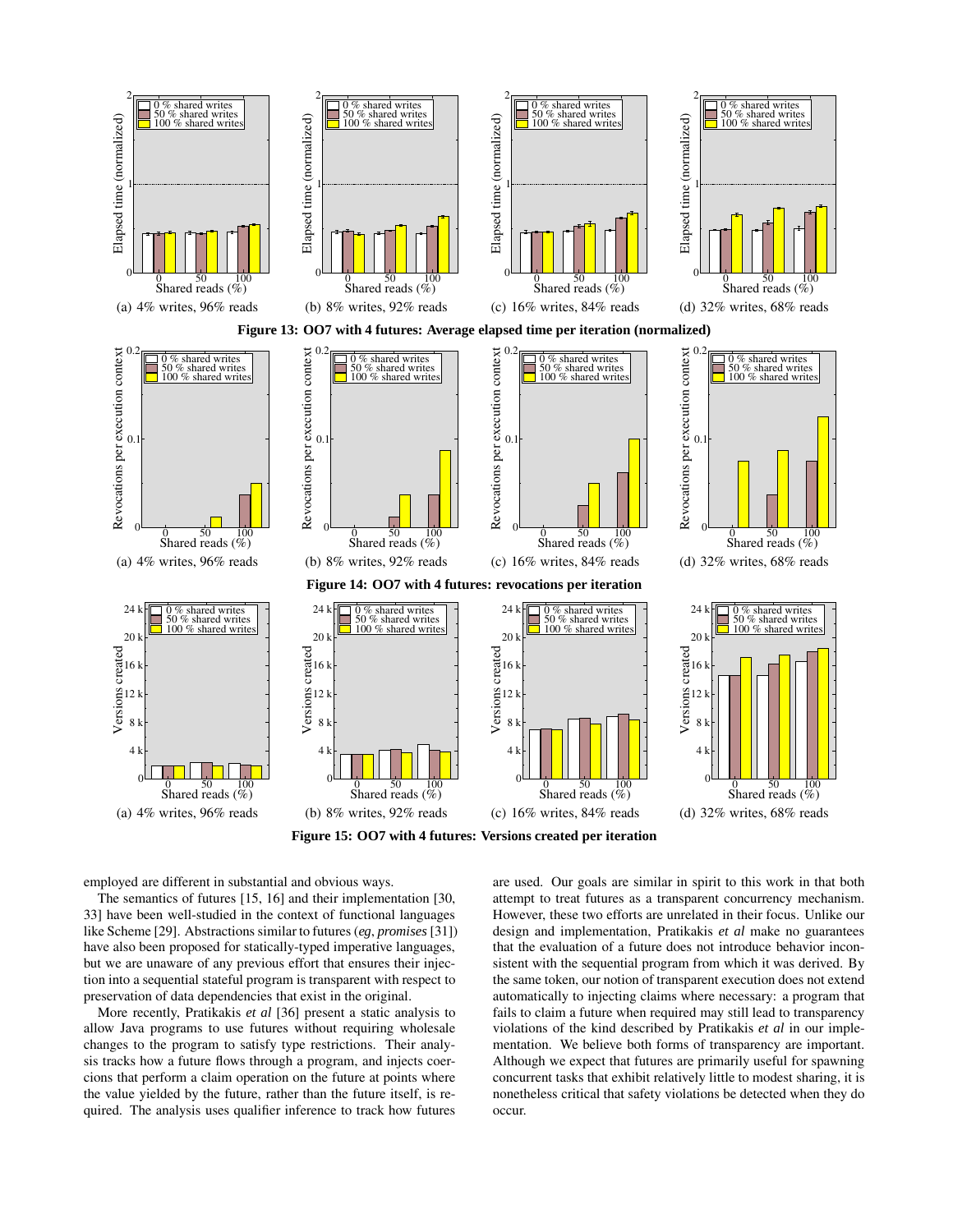

**Figure 15: OO7 with 4 futures: Versions created per iteration**

employed are different in substantial and obvious ways.

The semantics of futures [15, 16] and their implementation [30, 33] have been well-studied in the context of functional languages like Scheme [29]. Abstractions similar to futures (*eg*, *promises* [31]) have also been proposed for statically-typed imperative languages, but we are unaware of any previous effort that ensures their injection into a sequential stateful program is transparent with respect to preservation of data dependencies that exist in the original.

More recently, Pratikakis *et al* [36] present a static analysis to allow Java programs to use futures without requiring wholesale changes to the program to satisfy type restrictions. Their analysis tracks how a future flows through a program, and injects coercions that perform a claim operation on the future at points where the value yielded by the future, rather than the future itself, is required. The analysis uses qualifier inference to track how futures

are used. Our goals are similar in spirit to this work in that both attempt to treat futures as a transparent concurrency mechanism. However, these two efforts are unrelated in their focus. Unlike our design and implementation, Pratikakis *et al* make no guarantees that the evaluation of a future does not introduce behavior inconsistent with the sequential program from which it was derived. By the same token, our notion of transparent execution does not extend automatically to injecting claims where necessary: a program that fails to claim a future when required may still lead to transparency violations of the kind described by Pratikakis *et al* in our implementation. We believe both forms of transparency are important. Although we expect that futures are primarily useful for spawning concurrent tasks that exhibit relatively little to modest sharing, it is nonetheless critical that safety violations be detected when they do occur.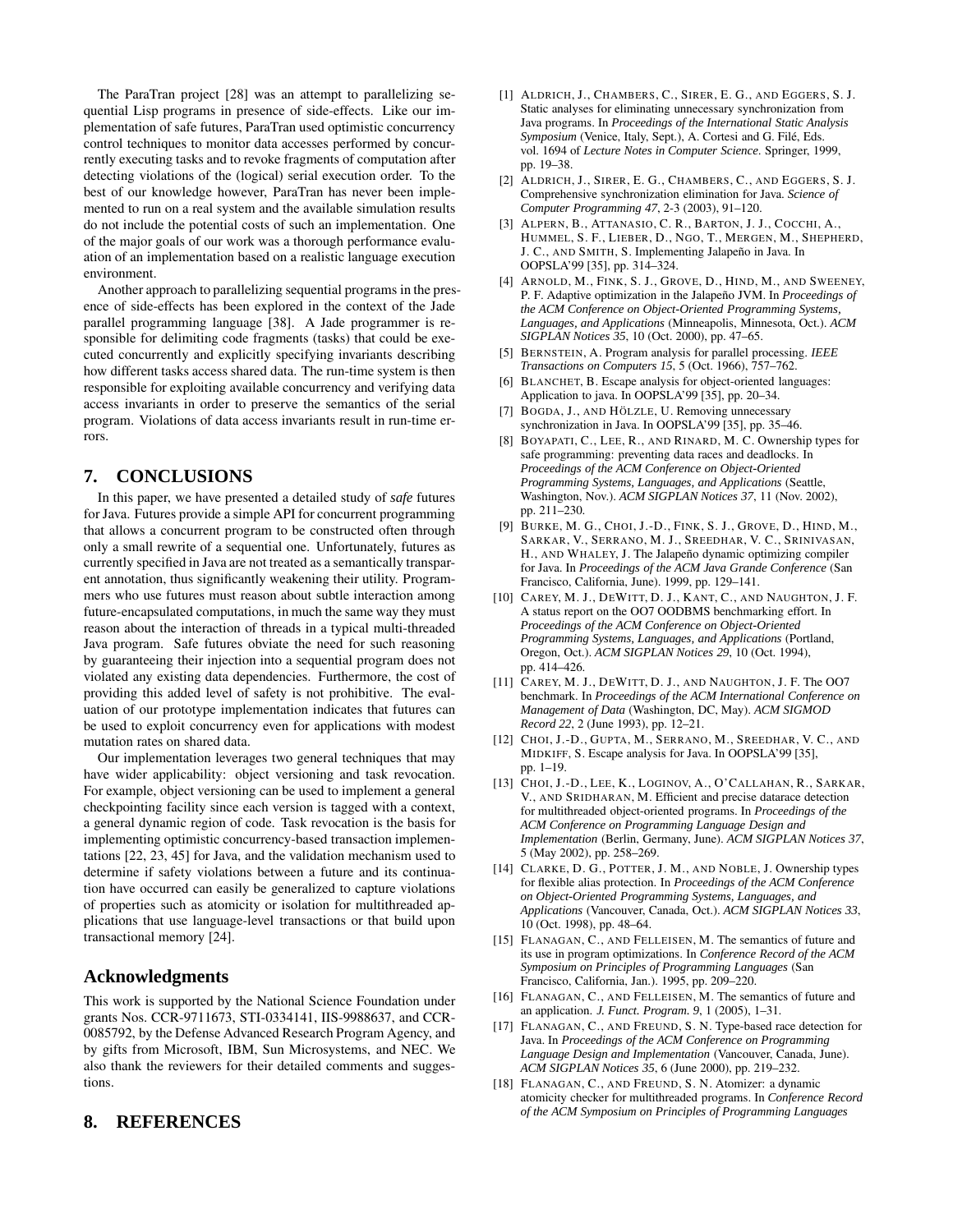The ParaTran project [28] was an attempt to parallelizing sequential Lisp programs in presence of side-effects. Like our implementation of safe futures, ParaTran used optimistic concurrency control techniques to monitor data accesses performed by concurrently executing tasks and to revoke fragments of computation after detecting violations of the (logical) serial execution order. To the best of our knowledge however, ParaTran has never been implemented to run on a real system and the available simulation results do not include the potential costs of such an implementation. One of the major goals of our work was a thorough performance evaluation of an implementation based on a realistic language execution environment.

Another approach to parallelizing sequential programs in the presence of side-effects has been explored in the context of the Jade parallel programming language [38]. A Jade programmer is responsible for delimiting code fragments (tasks) that could be executed concurrently and explicitly specifying invariants describing how different tasks access shared data. The run-time system is then responsible for exploiting available concurrency and verifying data access invariants in order to preserve the semantics of the serial program. Violations of data access invariants result in run-time errors.

# **7. CONCLUSIONS**

In this paper, we have presented a detailed study of *safe* futures for Java. Futures provide a simple API for concurrent programming that allows a concurrent program to be constructed often through only a small rewrite of a sequential one. Unfortunately, futures as currently specified in Java are not treated as a semantically transparent annotation, thus significantly weakening their utility. Programmers who use futures must reason about subtle interaction among future-encapsulated computations, in much the same way they must reason about the interaction of threads in a typical multi-threaded Java program. Safe futures obviate the need for such reasoning by guaranteeing their injection into a sequential program does not violated any existing data dependencies. Furthermore, the cost of providing this added level of safety is not prohibitive. The evaluation of our prototype implementation indicates that futures can be used to exploit concurrency even for applications with modest mutation rates on shared data.

Our implementation leverages two general techniques that may have wider applicability: object versioning and task revocation. For example, object versioning can be used to implement a general checkpointing facility since each version is tagged with a context, a general dynamic region of code. Task revocation is the basis for implementing optimistic concurrency-based transaction implementations [22, 23, 45] for Java, and the validation mechanism used to determine if safety violations between a future and its continuation have occurred can easily be generalized to capture violations of properties such as atomicity or isolation for multithreaded applications that use language-level transactions or that build upon transactional memory [24].

# **Acknowledgments**

This work is supported by the National Science Foundation under grants Nos. CCR-9711673, STI-0334141, IIS-9988637, and CCR-0085792, by the Defense Advanced Research Program Agency, and by gifts from Microsoft, IBM, Sun Microsystems, and NEC. We also thank the reviewers for their detailed comments and suggestions.

# **8. REFERENCES**

- [1] ALDRICH, J., CHAMBERS, C., SIRER, E. G., AND EGGERS, S. J. Static analyses for eliminating unnecessary synchronization from Java programs. In *Proceedings of the International Static Analysis* Symposium (Venice, Italy, Sept.), A. Cortesi and G. Filé, Eds. vol. 1694 of *Lecture Notes in Computer Science*. Springer, 1999, pp. 19–38.
- [2] ALDRICH, J., SIRER, E. G., CHAMBERS, C., AND EGGERS, S. J. Comprehensive synchronization elimination for Java. *Science of Computer Programming 47*, 2-3 (2003), 91–120.
- [3] ALPERN, B., ATTANASIO, C. R., BARTON, J. J., COCCHI, A., HUMMEL, S. F., LIEBER, D., NGO, T., MERGEN, M., SHEPHERD, J. C., AND SMITH, S. Implementing Jalapeño in Java. In OOPSLA'99 [35], pp. 314–324.
- [4] ARNOLD, M., FINK, S. J., GROVE, D., HIND, M., AND SWEENEY, P. F. Adaptive optimization in the Jalapeño JVM. In *Proceedings of the ACM Conference on Object-Oriented Programming Systems, Languages, and Applications* (Minneapolis, Minnesota, Oct.). *ACM SIGPLAN Notices 35*, 10 (Oct. 2000), pp. 47–65.
- [5] BERNSTEIN, A. Program analysis for parallel processing. *IEEE Transactions on Computers 15*, 5 (Oct. 1966), 757–762.
- [6] BLANCHET, B. Escape analysis for object-oriented languages: Application to java. In OOPSLA'99 [35], pp. 20–34.
- [7] BOGDA, J., AND HÖLZLE, U. Removing unnecessary synchronization in Java. In OOPSLA'99 [35], pp. 35–46.
- [8] BOYAPATI, C., LEE, R., AND RINARD, M. C. Ownership types for safe programming: preventing data races and deadlocks. In *Proceedings of the ACM Conference on Object-Oriented Programming Systems, Languages, and Applications* (Seattle, Washington, Nov.). *ACM SIGPLAN Notices 37*, 11 (Nov. 2002), pp. 211–230.
- [9] BURKE, M. G., CHOI, J.-D., FINK, S. J., GROVE, D., HIND, M., SARKAR, V., SERRANO, M. J., SREEDHAR, V. C., SRINIVASAN, H., AND WHALEY, J. The Jalapeño dynamic optimizing compiler for Java. In *Proceedings of the ACM Java Grande Conference* (San Francisco, California, June). 1999, pp. 129–141.
- [10] CAREY, M. J., DEWITT, D. J., KANT, C., AND NAUGHTON, J. F. A status report on the OO7 OODBMS benchmarking effort. In *Proceedings of the ACM Conference on Object-Oriented Programming Systems, Languages, and Applications* (Portland, Oregon, Oct.). *ACM SIGPLAN Notices 29*, 10 (Oct. 1994), pp. 414–426.
- [11] CAREY, M. J., DEWITT, D. J., AND NAUGHTON, J. F. The OO7 benchmark. In *Proceedings of the ACM International Conference on Management of Data* (Washington, DC, May). *ACM SIGMOD Record 22*, 2 (June 1993), pp. 12–21.
- [12] CHOI, J.-D., GUPTA, M., SERRANO, M., SREEDHAR, V. C., AND MIDKIFF, S. Escape analysis for Java. In OOPSLA'99 [35], pp. 1–19.
- [13] CHOI, J.-D., LEE, K., LOGINOV, A., O'CALLAHAN, R., SARKAR, V., AND SRIDHARAN, M. Efficient and precise datarace detection for multithreaded object-oriented programs. In *Proceedings of the ACM Conference on Programming Language Design and Implementation* (Berlin, Germany, June). *ACM SIGPLAN Notices 37*, 5 (May 2002), pp. 258–269.
- [14] CLARKE, D. G., POTTER, J. M., AND NOBLE, J. Ownership types for flexible alias protection. In *Proceedings of the ACM Conference on Object-Oriented Programming Systems, Languages, and Applications* (Vancouver, Canada, Oct.). *ACM SIGPLAN Notices 33*, 10 (Oct. 1998), pp. 48–64.
- [15] FLANAGAN, C., AND FELLEISEN, M. The semantics of future and its use in program optimizations. In *Conference Record of the ACM Symposium on Principles of Programming Languages* (San Francisco, California, Jan.). 1995, pp. 209–220.
- [16] FLANAGAN, C., AND FELLEISEN, M. The semantics of future and an application. *J. Funct. Program. 9*, 1 (2005), 1–31.
- [17] FLANAGAN, C., AND FREUND, S. N. Type-based race detection for Java. In *Proceedings of the ACM Conference on Programming Language Design and Implementation* (Vancouver, Canada, June). *ACM SIGPLAN Notices 35*, 6 (June 2000), pp. 219–232.
- [18] FLANAGAN, C., AND FREUND, S. N. Atomizer: a dynamic atomicity checker for multithreaded programs. In *Conference Record of the ACM Symposium on Principles of Programming Languages*